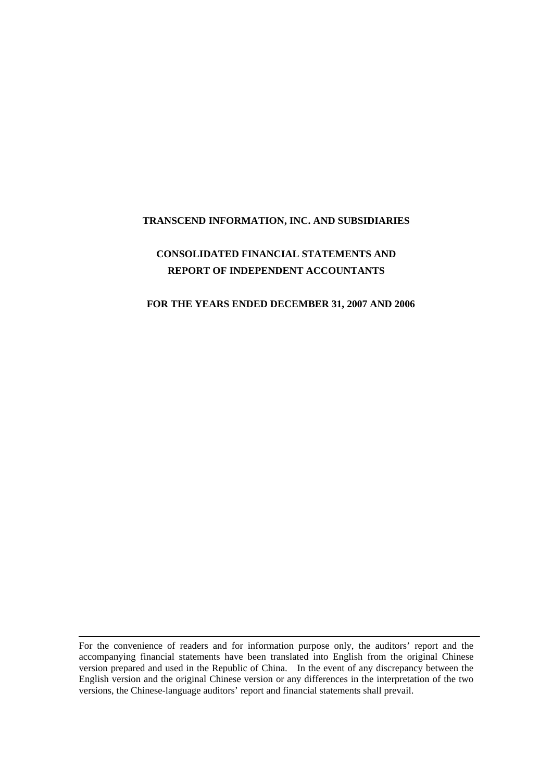#### **TRANSCEND INFORMATION, INC. AND SUBSIDIARIES**

# **CONSOLIDATED FINANCIAL STATEMENTS AND REPORT OF INDEPENDENT ACCOUNTANTS**

#### **FOR THE YEARS ENDED DECEMBER 31, 2007 AND 2006**

For the convenience of readers and for information purpose only, the auditors' report and the accompanying financial statements have been translated into English from the original Chinese version prepared and used in the Republic of China. In the event of any discrepancy between the English version and the original Chinese version or any differences in the interpretation of the two versions, the Chinese-language auditors' report and financial statements shall prevail.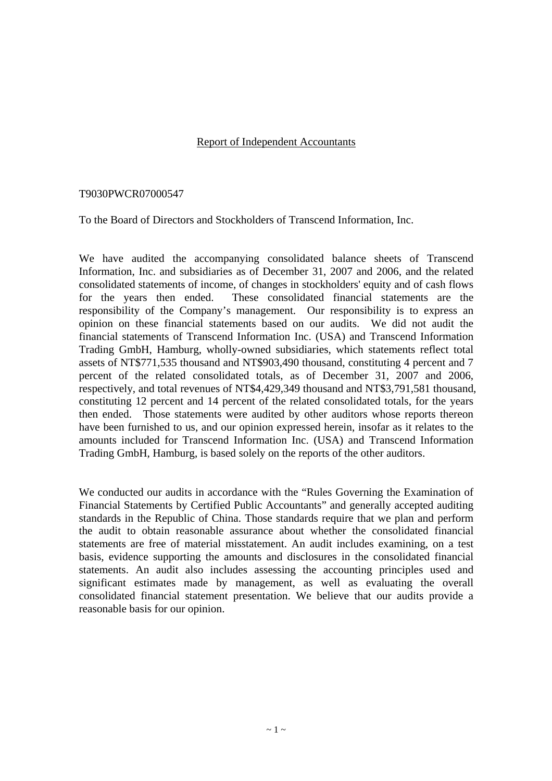# Report of Independent Accountants

#### T9030PWCR07000547

To the Board of Directors and Stockholders of Transcend Information, Inc.

We have audited the accompanying consolidated balance sheets of Transcend Information, Inc. and subsidiaries as of December 31, 2007 and 2006, and the related consolidated statements of income, of changes in stockholders' equity and of cash flows for the years then ended. These consolidated financial statements are the responsibility of the Company's management. Our responsibility is to express an opinion on these financial statements based on our audits. We did not audit the financial statements of Transcend Information Inc. (USA) and Transcend Information Trading GmbH, Hamburg, wholly-owned subsidiaries, which statements reflect total assets of NT\$771,535 thousand and NT\$903,490 thousand, constituting 4 percent and 7 percent of the related consolidated totals, as of December 31, 2007 and 2006, respectively, and total revenues of NT\$4,429,349 thousand and NT\$3,791,581 thousand, constituting 12 percent and 14 percent of the related consolidated totals, for the years then ended. Those statements were audited by other auditors whose reports thereon have been furnished to us, and our opinion expressed herein, insofar as it relates to the amounts included for Transcend Information Inc. (USA) and Transcend Information Trading GmbH, Hamburg, is based solely on the reports of the other auditors.

We conducted our audits in accordance with the "Rules Governing the Examination of Financial Statements by Certified Public Accountants" and generally accepted auditing standards in the Republic of China. Those standards require that we plan and perform the audit to obtain reasonable assurance about whether the consolidated financial statements are free of material misstatement. An audit includes examining, on a test basis, evidence supporting the amounts and disclosures in the consolidated financial statements. An audit also includes assessing the accounting principles used and significant estimates made by management, as well as evaluating the overall consolidated financial statement presentation. We believe that our audits provide a reasonable basis for our opinion.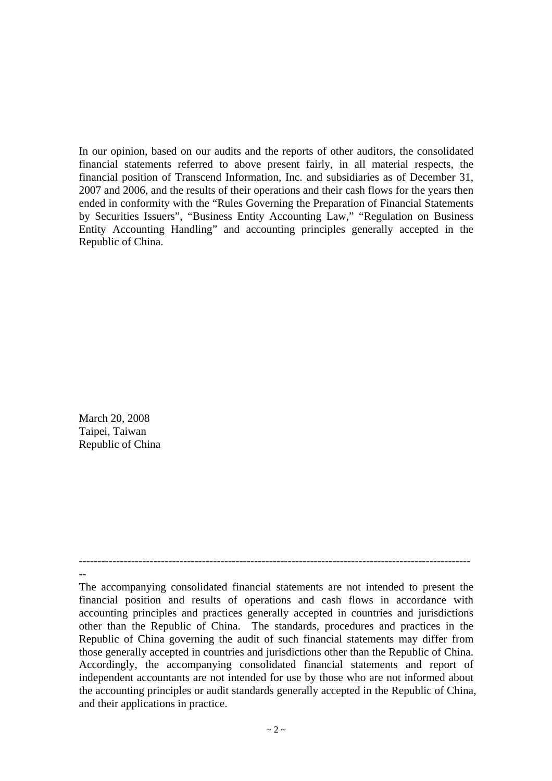In our opinion, based on our audits and the reports of other auditors, the consolidated financial statements referred to above present fairly, in all material respects, the financial position of Transcend Information, Inc. and subsidiaries as of December 31, 2007 and 2006, and the results of their operations and their cash flows for the years then ended in conformity with the "Rules Governing the Preparation of Financial Statements by Securities Issuers", "Business Entity Accounting Law," "Regulation on Business Entity Accounting Handling" and accounting principles generally accepted in the Republic of China.

March 20, 2008 Taipei, Taiwan Republic of China

-- The accompanying consolidated financial statements are not intended to present the financial position and results of operations and cash flows in accordance with accounting principles and practices generally accepted in countries and jurisdictions other than the Republic of China. The standards, procedures and practices in the Republic of China governing the audit of such financial statements may differ from those generally accepted in countries and jurisdictions other than the Republic of China. Accordingly, the accompanying consolidated financial statements and report of independent accountants are not intended for use by those who are not informed about the accounting principles or audit standards generally accepted in the Republic of China, and their applications in practice.

---------------------------------------------------------------------------------------------------------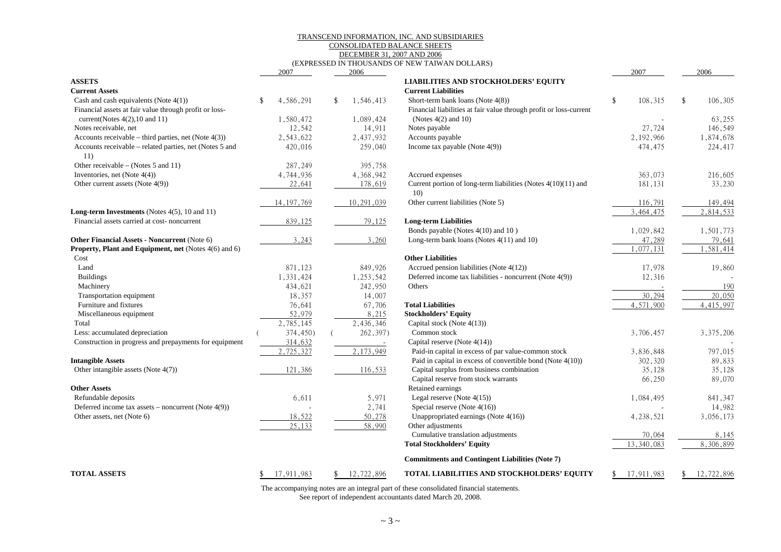#### TRANSCEND INFORMATION, INC. AND SUBSIDIARIES CONSOLIDATED BALANCE SHEETS

DECEMBER 31, 2007 AND 2006

#### (EXPRESSED IN THOUSANDS OF NEW TAIWAN DOLLARS)

|                                                         |                    | 2007         |               | 2006       |                                                                    | 2007          | 2006          |
|---------------------------------------------------------|--------------------|--------------|---------------|------------|--------------------------------------------------------------------|---------------|---------------|
| <b>ASSETS</b>                                           |                    |              |               |            | <b>LIABILITIES AND STOCKHOLDERS' EQUITY</b>                        |               |               |
| <b>Current Assets</b>                                   |                    |              |               |            | <b>Current Liabilities</b>                                         |               |               |
| Cash and cash equivalents (Note $4(1)$ )                | $\mathbf{\hat{S}}$ | 4,586,291    | <sup>\$</sup> | 1,546,413  | Short-term bank loans (Note 4(8))                                  | \$<br>108,315 | \$<br>106,305 |
| Financial assets at fair value through profit or loss-  |                    |              |               |            | Financial liabilities at fair value through profit or loss-current |               |               |
| current(Notes $4(2)$ , 10 and 11)                       |                    | 1,580,472    |               | 1,089,424  | (Notes $4(2)$ and $10$ )                                           |               | 63,255        |
| Notes receivable, net                                   |                    | 12,542       |               | 14,911     | Notes payable                                                      | 27,724        | 146,549       |
| Accounts receivable – third parties, net (Note $4(3)$ ) |                    | 2,543,622    |               | 2,437,932  | Accounts payable                                                   | 2,192,966     | 1,874,678     |
| Accounts receivable - related parties, net (Notes 5 and |                    | 420,016      |               | 259,040    | Income tax payable (Note $4(9)$ )                                  | 474,475       | 224,417       |
| 11)                                                     |                    |              |               |            |                                                                    |               |               |
| Other receivable – (Notes 5 and 11)                     |                    | 287,249      |               | 395,758    |                                                                    |               |               |
| Inventories, net (Note 4(4))                            |                    | 4,744,936    |               | 4,368,942  | Accrued expenses                                                   | 363,073       | 216,605       |
| Other current assets (Note 4(9))                        |                    | 22,641       |               | 178,619    | Current portion of long-term liabilities (Notes 4(10)(11) and      | 181,131       | 33,230        |
|                                                         |                    |              |               |            | 10)                                                                |               |               |
|                                                         |                    | 14, 197, 769 |               | 10,291,039 | Other current liabilities (Note 5)                                 | 116,791       | 149,494       |
| <b>Long-term Investments</b> (Notes $4(5)$ , 10 and 11) |                    |              |               |            |                                                                    | 3,464,475     | 2,814,533     |
| Financial assets carried at cost-noncurrent             |                    | 839,125      |               | 79,125     | <b>Long-term Liabilities</b>                                       |               |               |
|                                                         |                    |              |               |            | Bonds payable (Notes 4(10) and 10)                                 | 1,029,842     | 1,501,773     |
| Other Financial Assets - Noncurrent (Note 6)            |                    | 3,243        |               | 3,260      | Long-term bank loans (Notes 4(11) and 10)                          | 47,289        | 79,641        |
| Property, Plant and Equipment, net (Notes 4(6) and 6)   |                    |              |               |            |                                                                    | 1,077,131     | 1,581,414     |
| Cost                                                    |                    |              |               |            | <b>Other Liabilities</b>                                           |               |               |
| Land                                                    |                    | 871,123      |               | 849,926    | Accrued pension liabilities (Note 4(12))                           | 17,978        | 19,860        |
| <b>Buildings</b>                                        |                    | 1,331,424    |               | 1,253,542  | Deferred income tax liabilities - noncurrent (Note 4(9))           | 12,316        |               |
| Machinery                                               |                    | 434,621      |               | 242,950    | Others                                                             |               | 190           |
| Transportation equipment                                |                    | 18,357       |               | 14,007     |                                                                    | 30,294        | 20,050        |
| Furniture and fixtures                                  |                    | 76,641       |               | 67,706     | <b>Total Liabilities</b>                                           | 4,571,900     | 4,415,997     |
| Miscellaneous equipment                                 |                    | 52,979       |               | 8,215      | <b>Stockholders' Equity</b>                                        |               |               |
| Total                                                   |                    | 2,785,145    |               | 2,436,346  | Capital stock (Note 4(13))                                         |               |               |
| Less: accumulated depreciation                          |                    | 374,450)     |               | 262,397)   | Common stock                                                       | 3,706,457     | 3, 375, 206   |
| Construction in progress and prepayments for equipment  |                    | 314,632      |               | $\sim$     | Capital reserve (Note 4(14))                                       |               |               |
|                                                         |                    | 2,725,327    |               | 2,173,949  | Paid-in capital in excess of par value-common stock                | 3,836,848     | 797,015       |
| <b>Intangible Assets</b>                                |                    |              |               |            | Paid in capital in excess of convertible bond (Note 4(10))         | 302,320       | 89,833        |
| Other intangible assets (Note 4(7))                     |                    | 121,386      |               | 116,533    | Capital surplus from business combination                          | 35,128        | 35,128        |
|                                                         |                    |              |               |            | Capital reserve from stock warrants                                | 66,250        | 89,070        |
| <b>Other Assets</b>                                     |                    |              |               |            | Retained earnings                                                  |               |               |
| Refundable deposits                                     |                    | 6,611        |               | 5,971      | Legal reserve (Note $4(15)$ )                                      | 1,084,495     | 841,347       |
| Deferred income tax assets – noncurrent (Note $4(9)$ )  |                    |              |               | 2,741      | Special reserve (Note 4(16))                                       |               | 14,982        |
| Other assets, net (Note 6)                              |                    | 18,522       |               | 50,278     | Unappropriated earnings (Note 4(16))                               | 4,238,521     | 3,056,173     |
|                                                         |                    | 25.133       |               | 58,990     | Other adjustments                                                  |               |               |
|                                                         |                    |              |               |            | Cumulative translation adjustments                                 | 70,064        | 8,145         |
|                                                         |                    |              |               |            | <b>Total Stockholders' Equity</b>                                  | 13,340,083    | 8,306,899     |
|                                                         |                    |              |               |            |                                                                    |               |               |
|                                                         |                    |              |               |            | <b>Commitments and Contingent Liabilities (Note 7)</b>             |               |               |
| <b>TOTAL ASSETS</b>                                     |                    | 17,911,983   |               | 12,722,896 | TOTAL LIABILITIES AND STOCKHOLDERS' EQUITY                         | 17,911,983    | 12,722,896    |

The accompanying notes are an integral part of these consolidated financial statements.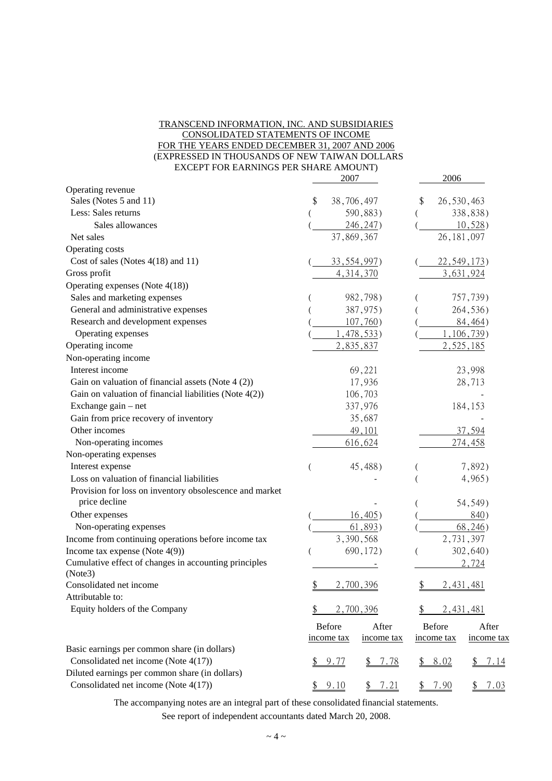#### TRANSCEND INFORMATION, INC. AND SUBSIDIARIES CONSOLIDATED STATEMENTS OF INCOME FOR THE YEARS ENDED DECEMBER 31, 2007 AND 2006 (EXPRESSED IN THOUSANDS OF NEW TAIWAN DOLLARS EXCEPT FOR EARNINGS PER SHARE AMOUNT)

|                                                           | 2007                            | 2006                                 |
|-----------------------------------------------------------|---------------------------------|--------------------------------------|
| Operating revenue                                         |                                 |                                      |
| Sales (Notes 5 and 11)                                    | 38,706,497<br>\$                | 26,530,463<br>\$                     |
| Less: Sales returns                                       | 590,883)                        | 338,838)                             |
| Sales allowances                                          | 246, 247                        | 10,528                               |
| Net sales                                                 | 37,869,367                      | 26, 181, 097                         |
| Operating costs                                           |                                 |                                      |
| Cost of sales (Notes $4(18)$ and 11)                      | 33, 554, 997)                   | 22, 549, 173                         |
| Gross profit                                              | 4, 314, 370                     | 3,631,924                            |
| Operating expenses (Note 4(18))                           |                                 |                                      |
| Sales and marketing expenses                              | 982,798)                        | 757,739)                             |
| General and administrative expenses                       | 387,975)                        | 264,536)                             |
| Research and development expenses                         | $107,760$ )                     | 84,464)                              |
| Operating expenses                                        | 1,478,533                       | 1,106,739                            |
| Operating income                                          | 2,835,837                       | 2,525,185                            |
| Non-operating income                                      |                                 |                                      |
| Interest income                                           | 69,221                          | 23,998                               |
| Gain on valuation of financial assets (Note 4 (2))        | 17,936                          | 28,713                               |
| Gain on valuation of financial liabilities (Note $4(2)$ ) | 106,703                         |                                      |
| Exchange gain - net                                       | 337,976                         | 184,153                              |
| Gain from price recovery of inventory                     | 35,687                          |                                      |
| Other incomes                                             | 49,101                          | 37,594                               |
| Non-operating incomes                                     | 616,624                         | 274,458                              |
| Non-operating expenses                                    |                                 |                                      |
| Interest expense                                          | 45,488)                         | 7,892)                               |
| Loss on valuation of financial liabilities                |                                 | 4,965)                               |
| Provision for loss on inventory obsolescence and market   |                                 |                                      |
| price decline                                             |                                 | 54,549)                              |
| Other expenses                                            | 16,405)                         | 840)                                 |
| Non-operating expenses                                    | 61,893)                         | 68,246)                              |
| Income from continuing operations before income tax       | 3,390,568                       | 2,731,397                            |
| Income tax expense (Note $4(9)$ )                         | 690,172)                        | 302,640)                             |
| Cumulative effect of changes in accounting principles     |                                 | 2,724                                |
| (Note3)                                                   |                                 |                                      |
| Consolidated net income                                   | \$<br>2,700,396                 | 2,431,481<br><u>\$</u>               |
| Attributable to:                                          |                                 |                                      |
| Equity holders of the Company                             | 2,700,396                       | 2,431,481                            |
|                                                           | <b>Before</b><br>After          | <b>Before</b><br>After               |
|                                                           | income tax<br>income tax        | income tax<br>income tax             |
| Basic earnings per common share (in dollars)              |                                 |                                      |
| Consolidated net income (Note 4(17))                      | 9.77<br><u>7.78</u><br>\$<br>\$ | 8.02<br>7.14<br>$\mathcal{L}$<br>\$. |
| Diluted earnings per common share (in dollars)            |                                 |                                      |
| Consolidated net income (Note 4(17))                      | \$9.10<br>\$7.21                | 7.90<br>7.03<br>\$<br>\$             |

The accompanying notes are an integral part of these consolidated financial statements.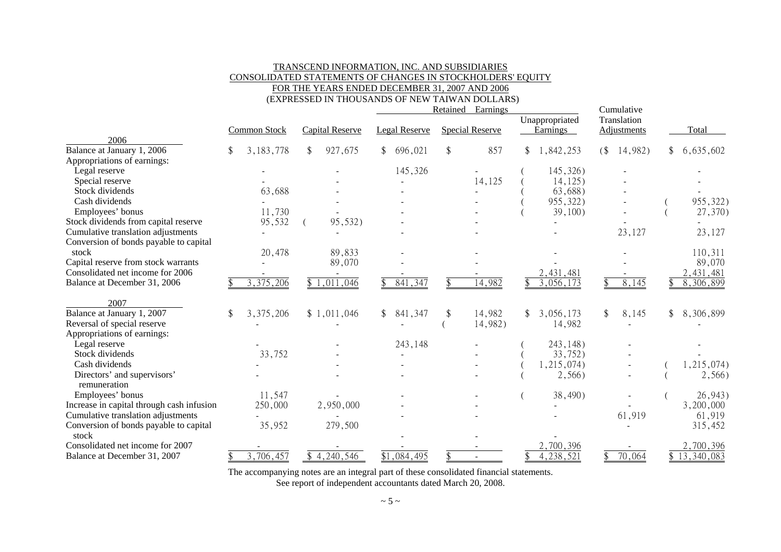#### TRANSCEND INFORMATION, INC. AND SUBSIDIARIES CONSOLIDATED STATEMENTS OF CHANGES IN STOCKHOLDERS' EQUITY FOR THE YEARS ENDED DECEMBER 31, 2007 AND 2006

(EXPRESSED IN THOUSANDS OF NEW TAIWAN DOLLARS)

|                                           |                     |                         |              |                         | Retained | Earnings               |                 |    | Cumulative         |              |
|-------------------------------------------|---------------------|-------------------------|--------------|-------------------------|----------|------------------------|-----------------|----|--------------------|--------------|
|                                           |                     |                         |              |                         |          |                        | Unappropriated  |    | Translation        |              |
|                                           | <b>Common Stock</b> | <b>Capital Reserve</b>  |              | Legal Reserve           |          | <b>Special Reserve</b> | <b>Earnings</b> |    | <b>Adjustments</b> | Total        |
| 2006                                      |                     |                         |              |                         |          |                        |                 |    |                    |              |
| Balance at January 1, 2006                | 3, 183, 778         | \$<br>927,675           | \$           | 696,021                 | \$       | 857                    | 1,842,253       | (  | 14,982)            | \$6,635,602  |
| Appropriations of earnings:               |                     |                         |              |                         |          |                        |                 |    |                    |              |
| Legal reserve                             |                     |                         |              | 145,326                 |          |                        | 145,326)        |    |                    |              |
| Special reserve                           |                     |                         |              |                         |          | 14,125                 | 14, 125)        |    |                    |              |
| Stock dividends                           | 63,688              |                         |              |                         |          |                        | 63,688)         |    |                    |              |
| Cash dividends                            |                     |                         |              |                         |          |                        | 955,322)        |    |                    | 955,322)     |
| Employees' bonus                          | 11,730              |                         |              |                         |          |                        | $39,100$ )      |    |                    | 27,370)      |
| Stock dividends from capital reserve      | 95,532              | 95,532)                 |              |                         |          |                        |                 |    |                    |              |
| Cumulative translation adjustments        |                     |                         |              |                         |          |                        |                 |    | 23,127             | 23,127       |
| Conversion of bonds payable to capital    |                     |                         |              |                         |          |                        |                 |    |                    |              |
| stock                                     | 20,478              | 89,833                  |              |                         |          |                        |                 |    |                    | 110,311      |
| Capital reserve from stock warrants       |                     | 89,070                  |              |                         |          |                        |                 |    |                    | 89,070       |
| Consolidated net income for 2006          |                     |                         |              |                         |          |                        | 2,431,481       |    |                    | 2,431,481    |
| Balance at December 31, 2006              | 3,375,206           | \$1,011,046             |              | 841,347                 |          | 14,982                 | 3,056,173       |    | 8,145              | 8,306,899    |
|                                           |                     |                         |              |                         |          |                        |                 |    |                    |              |
| 2007                                      |                     |                         |              |                         |          |                        |                 |    |                    |              |
| Balance at January 1, 2007                | \$<br>3,375,206     | \$1,011,046             | $\mathbb{S}$ | 841,347                 | \$       | 14,982                 | \$<br>3,056,173 | \$ | 8,145              | \$8,306,899  |
| Reversal of special reserve               |                     |                         |              |                         |          | 14,982)                | 14,982          |    |                    |              |
| Appropriations of earnings:               |                     |                         |              |                         |          |                        |                 |    |                    |              |
| Legal reserve                             |                     |                         |              | 243,148                 |          |                        | 243, 148)       |    |                    |              |
| Stock dividends                           | 33,752              |                         |              |                         |          |                        | 33,752)         |    |                    |              |
| Cash dividends                            |                     |                         |              |                         |          |                        | 1,215,074)      |    |                    | 1,215,074)   |
| Directors' and supervisors'               |                     |                         |              |                         |          |                        | 2,566)          |    |                    | 2,566)       |
| remuneration                              |                     |                         |              |                         |          |                        |                 |    |                    |              |
| Employees' bonus                          | 11,547              |                         |              |                         |          |                        | 38,490)         |    |                    | 26,943)      |
| Increase in capital through cash infusion | 250,000             | 2,950,000               |              |                         |          |                        |                 |    |                    | 3,200,000    |
| Cumulative translation adjustments        |                     |                         |              |                         |          |                        |                 |    | 61,919             | 61,919       |
| Conversion of bonds payable to capital    | 35,952              | 279,500                 |              |                         |          |                        |                 |    |                    | 315,452      |
| stock                                     |                     |                         |              |                         |          |                        |                 |    |                    |              |
| Consolidated net income for 2007          |                     |                         |              |                         |          |                        | 2,700,396       |    |                    | 2,700,396    |
| Balance at December 31, 2007              | 3,706,457           | $\overline{$}4,240,546$ |              | $\overline{$1,084,495}$ |          |                        | 4,238,521       |    | 70,064             | \$13,340,083 |

The accompanying notes are an integral part of these consolidated financial statements.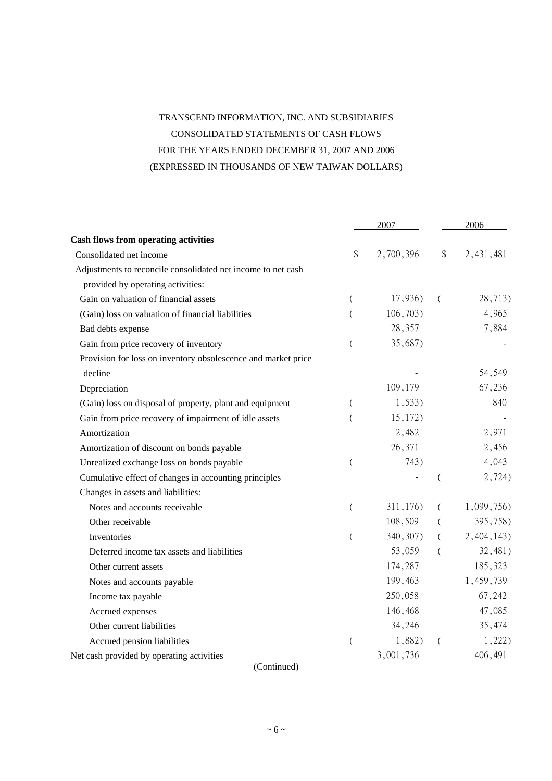# TRANSCEND INFORMATION, INC. AND SUBSIDIARIES CONSOLIDATED STATEMENTS OF CASH FLOWS FOR THE YEARS ENDED DECEMBER 31, 2007 AND 2006 (EXPRESSED IN THOUSANDS OF NEW TAIWAN DOLLARS)

|                                                               | 2007             |           | 2006                     |            |  |
|---------------------------------------------------------------|------------------|-----------|--------------------------|------------|--|
| <b>Cash flows from operating activities</b>                   |                  |           |                          |            |  |
| Consolidated net income                                       | \$               | 2,700,396 | \$                       | 2,431,481  |  |
| Adjustments to reconcile consolidated net income to net cash  |                  |           |                          |            |  |
| provided by operating activities:                             |                  |           |                          |            |  |
| Gain on valuation of financial assets                         | (                | 17,936)   | $\left($                 | 28,713)    |  |
| (Gain) loss on valuation of financial liabilities             | $\overline{(}$   | 106,703)  |                          | 4,965      |  |
| Bad debts expense                                             |                  | 28,357    |                          | 7,884      |  |
| Gain from price recovery of inventory                         | $\left($         | 35,687)   |                          |            |  |
| Provision for loss on inventory obsolescence and market price |                  |           |                          |            |  |
| decline                                                       |                  |           |                          | 54,549     |  |
| Depreciation                                                  |                  | 109,179   |                          | 67,236     |  |
| (Gain) loss on disposal of property, plant and equipment      | (                | $1,533$ ) |                          | 840        |  |
| Gain from price recovery of impairment of idle assets         | (                | 15,172)   |                          |            |  |
| Amortization                                                  |                  | 2,482     |                          | 2,971      |  |
| Amortization of discount on bonds payable                     |                  | 26,371    |                          | 2,456      |  |
| Unrealized exchange loss on bonds payable                     | $\overline{(\ }$ | 743)      |                          | 4,043      |  |
| Cumulative effect of changes in accounting principles         |                  |           | $\overline{\phantom{a}}$ | 2,724)     |  |
| Changes in assets and liabilities:                            |                  |           |                          |            |  |
| Notes and accounts receivable                                 | $\overline{(}$   | 311,176)  | (                        | 1,099,756) |  |
| Other receivable                                              |                  | 108,509   | €                        | 395,758)   |  |
| Inventories                                                   | $\overline{(\ }$ | 340, 307) | $\left($                 | 2,404,143) |  |
| Deferred income tax assets and liabilities                    |                  | 53,059    | (                        | 32,481)    |  |
| Other current assets                                          |                  | 174,287   |                          | 185,323    |  |
| Notes and accounts payable                                    |                  | 199,463   |                          | 1,459,739  |  |
| Income tax payable                                            |                  | 250,058   |                          | 67,242     |  |
| Accrued expenses                                              |                  | 146,468   |                          | 47,085     |  |
| Other current liabilities                                     |                  | 34,246    |                          | 35,474     |  |
| Accrued pension liabilities                                   |                  | 1,882)    |                          | 1,222      |  |
| Net cash provided by operating activities                     |                  | 3,001,736 |                          | 406,491    |  |

(Continued)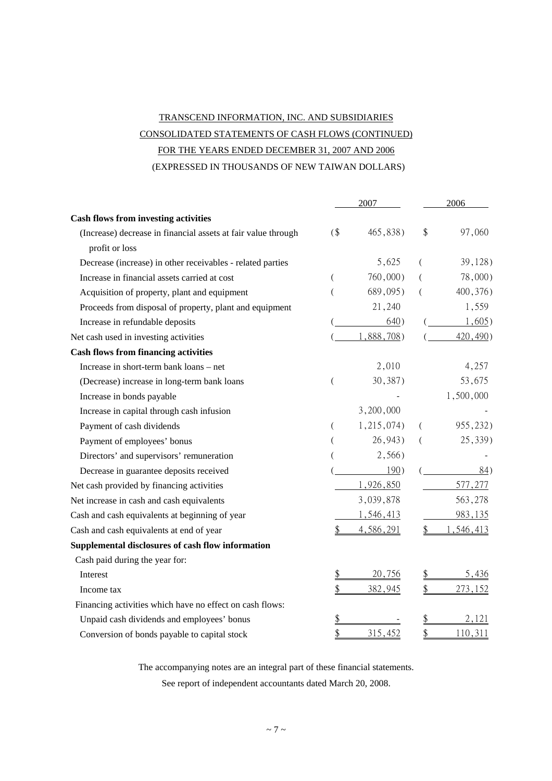# TRANSCEND INFORMATION, INC. AND SUBSIDIARIES CONSOLIDATED STATEMENTS OF CASH FLOWS (CONTINUED) FOR THE YEARS ENDED DECEMBER 31, 2007 AND 2006

(EXPRESSED IN THOUSANDS OF NEW TAIWAN DOLLARS)

|                                                               |        | 2007       |                | 2006       |
|---------------------------------------------------------------|--------|------------|----------------|------------|
| <b>Cash flows from investing activities</b>                   |        |            |                |            |
| (Increase) decrease in financial assets at fair value through | $($ \$ | 465,838)   | \$             | 97,060     |
| profit or loss                                                |        |            |                |            |
| Decrease (increase) in other receivables - related parties    |        | 5,625      | €              | 39,128     |
| Increase in financial assets carried at cost                  |        | 760,000)   |                | $78,000$ ) |
| Acquisition of property, plant and equipment                  |        | 689,095)   | $\overline{(}$ | 400, 376)  |
| Proceeds from disposal of property, plant and equipment       |        | 21,240     |                | 1,559      |
| Increase in refundable deposits                               |        | 640)       |                | 1,605      |
| Net cash used in investing activities                         |        | 1,888,708) |                | 420,490)   |
| <b>Cash flows from financing activities</b>                   |        |            |                |            |
| Increase in short-term bank loans - net                       |        | 2,010      |                | 4,257      |
| (Decrease) increase in long-term bank loans                   | (      | 30,387)    |                | 53,675     |
| Increase in bonds payable                                     |        |            |                | 1,500,000  |
| Increase in capital through cash infusion                     |        | 3,200,000  |                |            |
| Payment of cash dividends                                     |        | 1,215,074) | €              | 955,232)   |
| Payment of employees' bonus                                   |        | 26,943)    | €              | 25,339)    |
| Directors' and supervisors' remuneration                      |        | 2,566)     |                |            |
| Decrease in guarantee deposits received                       |        | 190)       |                | 84)        |
| Net cash provided by financing activities                     |        | 1,926,850  |                | 577,277    |
| Net increase in cash and cash equivalents                     |        | 3,039,878  |                | 563,278    |
| Cash and cash equivalents at beginning of year                |        | 1,546,413  |                | 983,135    |
| Cash and cash equivalents at end of year                      |        | 4,586,291  | \$             | ,546,413   |
| Supplemental disclosures of cash flow information             |        |            |                |            |
| Cash paid during the year for:                                |        |            |                |            |
| Interest                                                      |        | 20,756     |                | 5,436      |
| Income tax                                                    |        | 382,945    | \$             | 273,152    |
| Financing activities which have no effect on cash flows:      |        |            |                |            |
| Unpaid cash dividends and employees' bonus                    |        |            | \$             | 2,121      |
| Conversion of bonds payable to capital stock                  | \$     | 315,452    | \$             | 110,311    |

The accompanying notes are an integral part of these financial statements.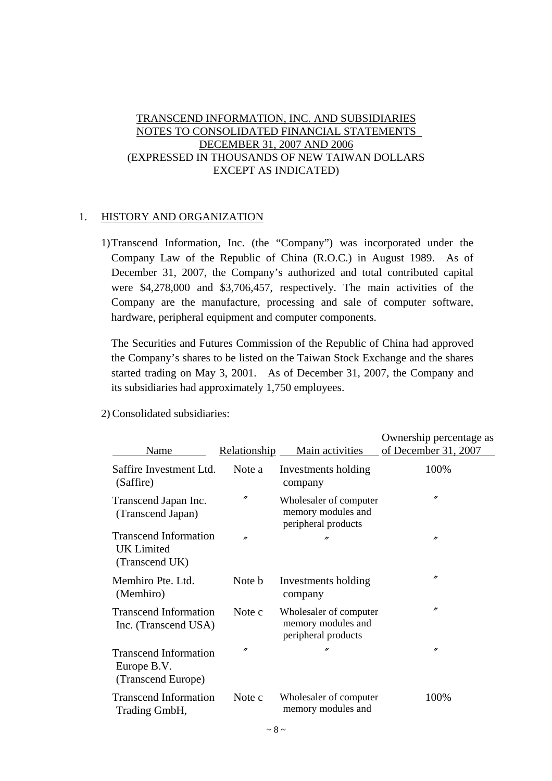# TRANSCEND INFORMATION, INC. AND SUBSIDIARIES NOTES TO CONSOLIDATED FINANCIAL STATEMENTS DECEMBER 31, 2007 AND 2006 (EXPRESSED IN THOUSANDS OF NEW TAIWAN DOLLARS EXCEPT AS INDICATED)

# 1. HISTORY AND ORGANIZATION

1)Transcend Information, Inc. (the "Company") was incorporated under the Company Law of the Republic of China (R.O.C.) in August 1989. As of December 31, 2007, the Company's authorized and total contributed capital were \$4,278,000 and \$3,706,457, respectively. The main activities of the Company are the manufacture, processing and sale of computer software, hardware, peripheral equipment and computer components.

The Securities and Futures Commission of the Republic of China had approved the Company's shares to be listed on the Taiwan Stock Exchange and the shares started trading on May 3, 2001. As of December 31, 2007, the Company and its subsidiaries had approximately 1,750 employees.

| Name                                                                | <b>Relationship</b> | Main activities                                                     | Ownership percentage as<br>of December 31, 2007 |
|---------------------------------------------------------------------|---------------------|---------------------------------------------------------------------|-------------------------------------------------|
| Saffire Investment Ltd.<br>(Saffire)                                | Note a              | Investments holding<br>company                                      | 100%                                            |
| Transcend Japan Inc.<br>(Transcend Japan)                           | $^{\prime\prime}$   | Wholesaler of computer<br>memory modules and<br>peripheral products | $^{\prime\prime}$                               |
| <b>Transcend Information</b><br><b>UK</b> Limited<br>(Transcend UK) | n                   | n                                                                   | $^{\prime\prime}$                               |
| Memhiro Pte. Ltd.<br>(Memhiro)                                      | Note b              | Investments holding<br>company                                      | $^{\prime\prime}$                               |
| <b>Transcend Information</b><br>Inc. (Transcend USA)                | Note c              | Wholesaler of computer<br>memory modules and<br>peripheral products | $^{\prime\prime}$                               |
| <b>Transcend Information</b><br>Europe B.V.<br>(Transcend Europe)   | $^{\prime\prime}$   | n                                                                   | $^{\prime\prime}$                               |
| <b>Transcend Information</b><br>Trading GmbH,                       | Note c              | Wholesaler of computer<br>memory modules and                        | 100%                                            |

2) Consolidated subsidiaries: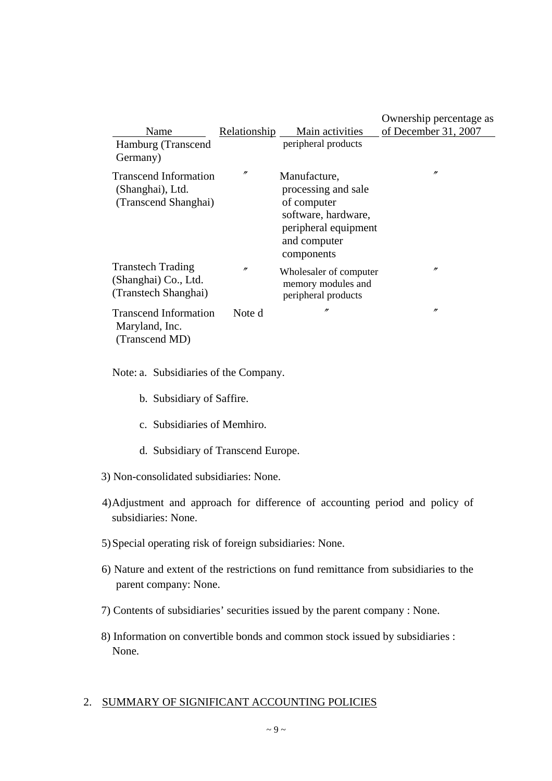|                                                                          |                   |                                                                                                                                 | Ownership percentage as |
|--------------------------------------------------------------------------|-------------------|---------------------------------------------------------------------------------------------------------------------------------|-------------------------|
| Name                                                                     | Relationship      | Main activities                                                                                                                 | of December 31, 2007    |
| Hamburg (Transcend<br>Germany)                                           |                   | peripheral products                                                                                                             |                         |
| <b>Transcend Information</b><br>(Shanghai), Ltd.<br>(Transcend Shanghai) | $^{\prime\prime}$ | Manufacture,<br>processing and sale<br>of computer<br>software, hardware,<br>peripheral equipment<br>and computer<br>components | $\prime$                |
| <b>Transtech Trading</b><br>(Shanghai) Co., Ltd.<br>(Transtech Shanghai) | "                 | Wholesaler of computer<br>memory modules and<br>peripheral products                                                             | n                       |
| <b>Transcend Information</b><br>Maryland, Inc.<br>(Transcend MD)         | Note d            | n                                                                                                                               | n                       |

Note: a. Subsidiaries of the Company.

- b. Subsidiary of Saffire.
- c. Subsidiaries of Memhiro.
- d. Subsidiary of Transcend Europe.
- 3) Non-consolidated subsidiaries: None.
- 4) Adjustment and approach for difference of accounting period and policy of subsidiaries: None.
- 5) Special operating risk of foreign subsidiaries: None.
- 6) Nature and extent of the restrictions on fund remittance from subsidiaries to the parent company: None.
- 7) Contents of subsidiaries' securities issued by the parent company : None.
- 8) Information on convertible bonds and common stock issued by subsidiaries : None.

#### 2. SUMMARY OF SIGNIFICANT ACCOUNTING POLICIES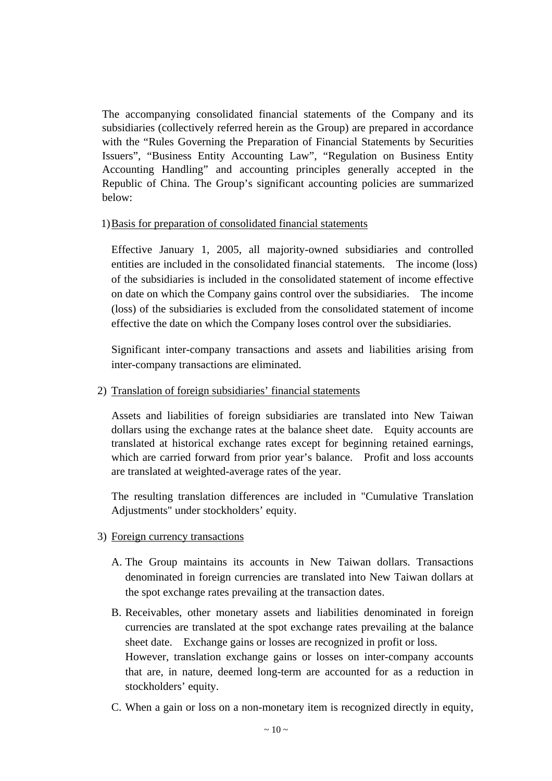The accompanying consolidated financial statements of the Company and its subsidiaries (collectively referred herein as the Group) are prepared in accordance with the "Rules Governing the Preparation of Financial Statements by Securities Issuers", "Business Entity Accounting Law", "Regulation on Business Entity Accounting Handling" and accounting principles generally accepted in the Republic of China. The Group's significant accounting policies are summarized below:

### 1) Basis for preparation of consolidated financial statements

Effective January 1, 2005, all majority-owned subsidiaries and controlled entities are included in the consolidated financial statements. The income (loss) of the subsidiaries is included in the consolidated statement of income effective on date on which the Company gains control over the subsidiaries. The income (loss) of the subsidiaries is excluded from the consolidated statement of income effective the date on which the Company loses control over the subsidiaries.

Significant inter-company transactions and assets and liabilities arising from inter-company transactions are eliminated.

# 2) Translation of foreign subsidiaries' financial statements

Assets and liabilities of foreign subsidiaries are translated into New Taiwan dollars using the exchange rates at the balance sheet date. Equity accounts are translated at historical exchange rates except for beginning retained earnings, which are carried forward from prior year's balance. Profit and loss accounts are translated at weighted-average rates of the year.

The resulting translation differences are included in "Cumulative Translation Adjustments" under stockholders' equity.

# 3) Foreign currency transactions

- A. The Group maintains its accounts in New Taiwan dollars. Transactions denominated in foreign currencies are translated into New Taiwan dollars at the spot exchange rates prevailing at the transaction dates.
- B. Receivables, other monetary assets and liabilities denominated in foreign currencies are translated at the spot exchange rates prevailing at the balance sheet date. Exchange gains or losses are recognized in profit or loss. However, translation exchange gains or losses on inter-company accounts that are, in nature, deemed long-term are accounted for as a reduction in stockholders' equity.
- C. When a gain or loss on a non-monetary item is recognized directly in equity,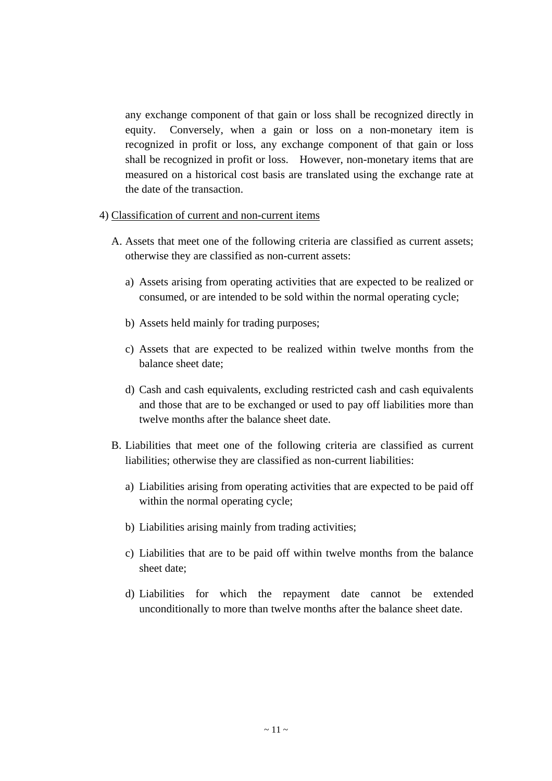any exchange component of that gain or loss shall be recognized directly in equity. Conversely, when a gain or loss on a non-monetary item is recognized in profit or loss, any exchange component of that gain or loss shall be recognized in profit or loss. However, non-monetary items that are measured on a historical cost basis are translated using the exchange rate at the date of the transaction.

### 4) Classification of current and non-current items

- A. Assets that meet one of the following criteria are classified as current assets; otherwise they are classified as non-current assets:
	- a) Assets arising from operating activities that are expected to be realized or consumed, or are intended to be sold within the normal operating cycle;
	- b) Assets held mainly for trading purposes;
	- c) Assets that are expected to be realized within twelve months from the balance sheet date;
	- d) Cash and cash equivalents, excluding restricted cash and cash equivalents and those that are to be exchanged or used to pay off liabilities more than twelve months after the balance sheet date.
- B. Liabilities that meet one of the following criteria are classified as current liabilities; otherwise they are classified as non-current liabilities:
	- a) Liabilities arising from operating activities that are expected to be paid off within the normal operating cycle;
	- b) Liabilities arising mainly from trading activities;
	- c) Liabilities that are to be paid off within twelve months from the balance sheet date;
	- d) Liabilities for which the repayment date cannot be extended unconditionally to more than twelve months after the balance sheet date.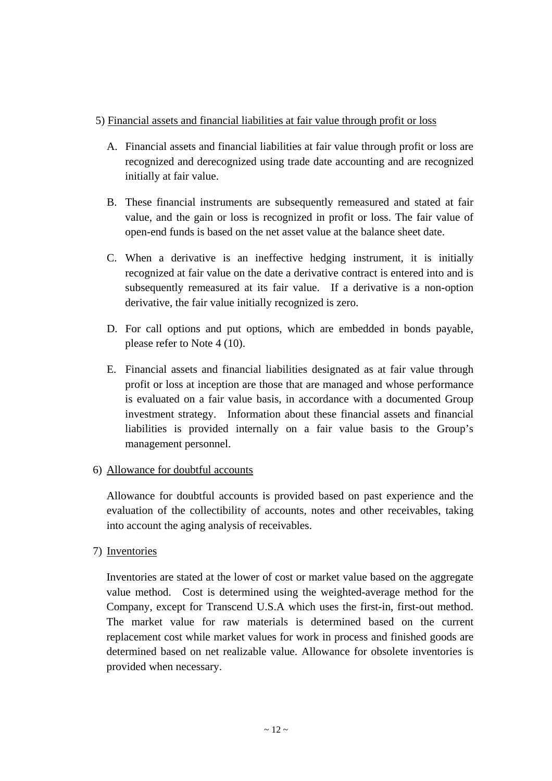# 5) Financial assets and financial liabilities at fair value through profit or loss

- A. Financial assets and financial liabilities at fair value through profit or loss are recognized and derecognized using trade date accounting and are recognized initially at fair value.
- B. These financial instruments are subsequently remeasured and stated at fair value, and the gain or loss is recognized in profit or loss. The fair value of open-end funds is based on the net asset value at the balance sheet date.
- C. When a derivative is an ineffective hedging instrument, it is initially recognized at fair value on the date a derivative contract is entered into and is subsequently remeasured at its fair value. If a derivative is a non-option derivative, the fair value initially recognized is zero.
- D. For call options and put options, which are embedded in bonds payable, please refer to Note 4 (10).
- E. Financial assets and financial liabilities designated as at fair value through profit or loss at inception are those that are managed and whose performance is evaluated on a fair value basis, in accordance with a documented Group investment strategy. Information about these financial assets and financial liabilities is provided internally on a fair value basis to the Group's management personnel.

# 6) Allowance for doubtful accounts

Allowance for doubtful accounts is provided based on past experience and the evaluation of the collectibility of accounts, notes and other receivables, taking into account the aging analysis of receivables.

# 7) Inventories

Inventories are stated at the lower of cost or market value based on the aggregate value method. Cost is determined using the weighted-average method for the Company, except for Transcend U.S.A which uses the first-in, first-out method. The market value for raw materials is determined based on the current replacement cost while market values for work in process and finished goods are determined based on net realizable value. Allowance for obsolete inventories is provided when necessary.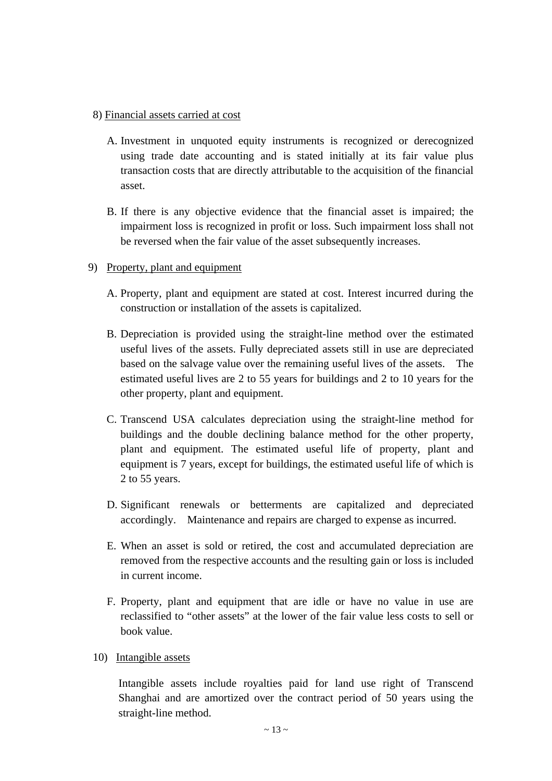## 8) Financial assets carried at cost

- A. Investment in unquoted equity instruments is recognized or derecognized using trade date accounting and is stated initially at its fair value plus transaction costs that are directly attributable to the acquisition of the financial asset.
- B. If there is any objective evidence that the financial asset is impaired; the impairment loss is recognized in profit or loss. Such impairment loss shall not be reversed when the fair value of the asset subsequently increases.
- 9) Property, plant and equipment
	- A. Property, plant and equipment are stated at cost. Interest incurred during the construction or installation of the assets is capitalized.
	- B. Depreciation is provided using the straight-line method over the estimated useful lives of the assets. Fully depreciated assets still in use are depreciated based on the salvage value over the remaining useful lives of the assets. The estimated useful lives are 2 to 55 years for buildings and 2 to 10 years for the other property, plant and equipment.
	- C. Transcend USA calculates depreciation using the straight-line method for buildings and the double declining balance method for the other property, plant and equipment. The estimated useful life of property, plant and equipment is 7 years, except for buildings, the estimated useful life of which is 2 to 55 years.
	- D. Significant renewals or betterments are capitalized and depreciated accordingly. Maintenance and repairs are charged to expense as incurred.
	- E. When an asset is sold or retired, the cost and accumulated depreciation are removed from the respective accounts and the resulting gain or loss is included in current income.
	- F. Property, plant and equipment that are idle or have no value in use are reclassified to "other assets" at the lower of the fair value less costs to sell or book value.
	- 10) Intangible assets

Intangible assets include royalties paid for land use right of Transcend Shanghai and are amortized over the contract period of 50 years using the straight-line method.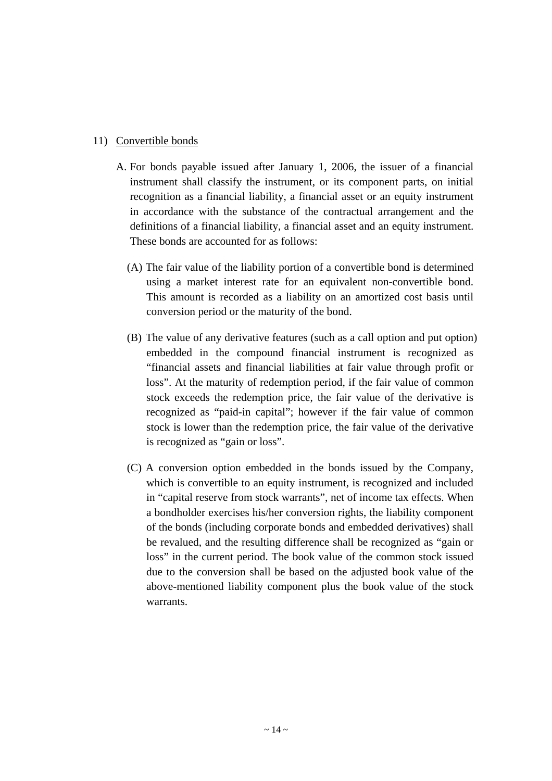# 11) Convertible bonds

- A. For bonds payable issued after January 1, 2006, the issuer of a financial instrument shall classify the instrument, or its component parts, on initial recognition as a financial liability, a financial asset or an equity instrument in accordance with the substance of the contractual arrangement and the definitions of a financial liability, a financial asset and an equity instrument. These bonds are accounted for as follows:
	- (A) The fair value of the liability portion of a convertible bond is determined using a market interest rate for an equivalent non-convertible bond. This amount is recorded as a liability on an amortized cost basis until conversion period or the maturity of the bond.
	- (B) The value of any derivative features (such as a call option and put option) embedded in the compound financial instrument is recognized as "financial assets and financial liabilities at fair value through profit or loss". At the maturity of redemption period, if the fair value of common stock exceeds the redemption price, the fair value of the derivative is recognized as "paid-in capital"; however if the fair value of common stock is lower than the redemption price, the fair value of the derivative is recognized as "gain or loss".
	- (C) A conversion option embedded in the bonds issued by the Company, which is convertible to an equity instrument, is recognized and included in "capital reserve from stock warrants", net of income tax effects. When a bondholder exercises his/her conversion rights, the liability component of the bonds (including corporate bonds and embedded derivatives) shall be revalued, and the resulting difference shall be recognized as "gain or loss" in the current period. The book value of the common stock issued due to the conversion shall be based on the adjusted book value of the above-mentioned liability component plus the book value of the stock warrants.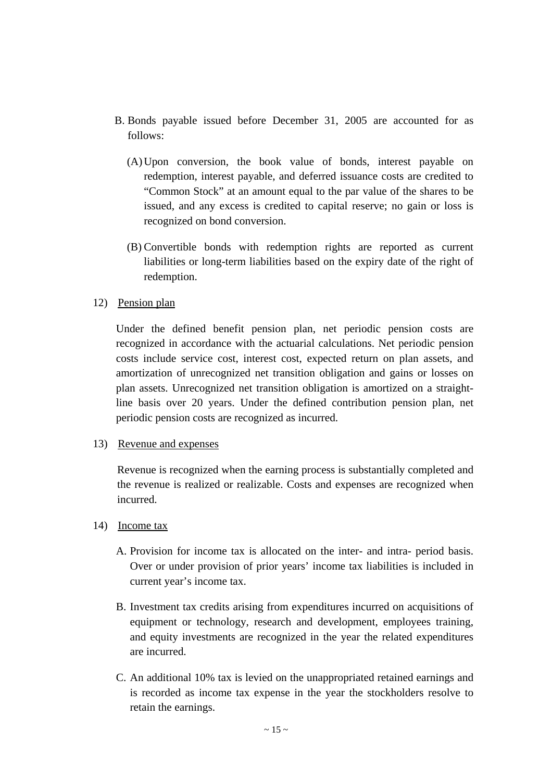- B. Bonds payable issued before December 31, 2005 are accounted for as follows:
	- (A)Upon conversion, the book value of bonds, interest payable on redemption, interest payable, and deferred issuance costs are credited to "Common Stock" at an amount equal to the par value of the shares to be issued, and any excess is credited to capital reserve; no gain or loss is recognized on bond conversion.
	- (B) Convertible bonds with redemption rights are reported as current liabilities or long-term liabilities based on the expiry date of the right of redemption.
- 12) Pension plan

Under the defined benefit pension plan, net periodic pension costs are recognized in accordance with the actuarial calculations. Net periodic pension costs include service cost, interest cost, expected return on plan assets, and amortization of unrecognized net transition obligation and gains or losses on plan assets. Unrecognized net transition obligation is amortized on a straightline basis over 20 years. Under the defined contribution pension plan, net periodic pension costs are recognized as incurred.

13) Revenue and expenses

Revenue is recognized when the earning process is substantially completed and the revenue is realized or realizable. Costs and expenses are recognized when incurred.

- 14) Income tax
	- A. Provision for income tax is allocated on the inter- and intra- period basis. Over or under provision of prior years' income tax liabilities is included in current year's income tax.
	- B. Investment tax credits arising from expenditures incurred on acquisitions of equipment or technology, research and development, employees training, and equity investments are recognized in the year the related expenditures are incurred.
	- C. An additional 10% tax is levied on the unappropriated retained earnings and is recorded as income tax expense in the year the stockholders resolve to retain the earnings.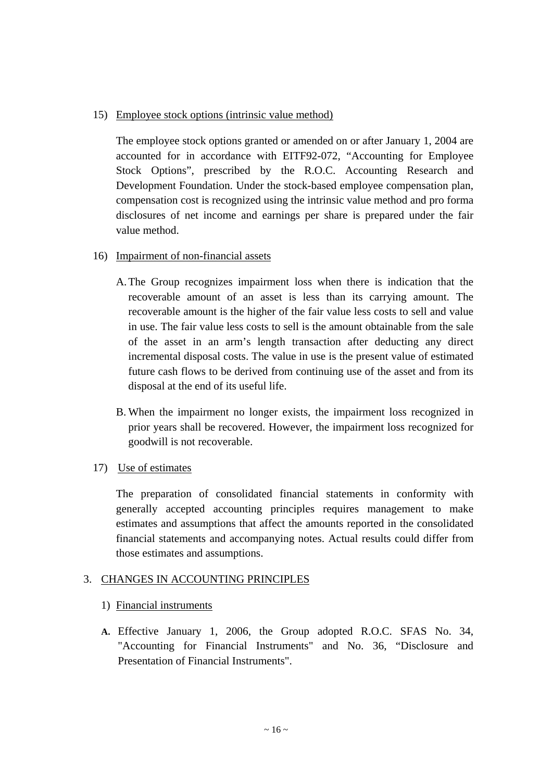# 15) Employee stock options (intrinsic value method)

The employee stock options granted or amended on or after January 1, 2004 are accounted for in accordance with EITF92-072, "Accounting for Employee Stock Options", prescribed by the R.O.C. Accounting Research and Development Foundation. Under the stock-based employee compensation plan, compensation cost is recognized using the intrinsic value method and pro forma disclosures of net income and earnings per share is prepared under the fair value method.

## 16) Impairment of non-financial assets

- A.The Group recognizes impairment loss when there is indication that the recoverable amount of an asset is less than its carrying amount. The recoverable amount is the higher of the fair value less costs to sell and value in use. The fair value less costs to sell is the amount obtainable from the sale of the asset in an arm's length transaction after deducting any direct incremental disposal costs. The value in use is the present value of estimated future cash flows to be derived from continuing use of the asset and from its disposal at the end of its useful life.
- B. When the impairment no longer exists, the impairment loss recognized in prior years shall be recovered. However, the impairment loss recognized for goodwill is not recoverable.

# 17) Use of estimates

The preparation of consolidated financial statements in conformity with generally accepted accounting principles requires management to make estimates and assumptions that affect the amounts reported in the consolidated financial statements and accompanying notes. Actual results could differ from those estimates and assumptions.

# 3. CHANGES IN ACCOUNTING PRINCIPLES

### 1) Financial instruments

**A.** Effective January 1, 2006, the Group adopted R.O.C. SFAS No. 34, "Accounting for Financial Instruments" and No. 36, "Disclosure and Presentation of Financial Instruments".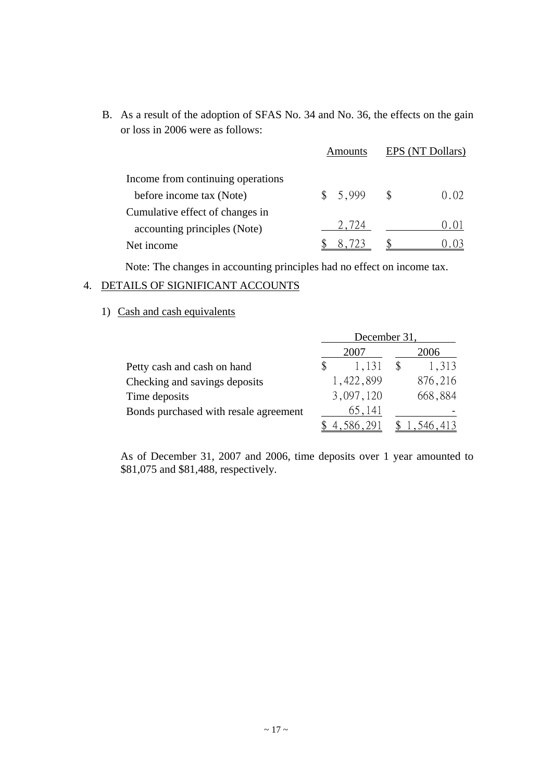B. As a result of the adoption of SFAS No. 34 and No. 36, the effects on the gain or loss in 2006 were as follows:

|                                   | Amounts | EPS (NT Dollars) |      |
|-----------------------------------|---------|------------------|------|
| Income from continuing operations |         |                  |      |
| before income tax (Note)          | 5,999   |                  | 0.02 |
| Cumulative effect of changes in   |         |                  |      |
| accounting principles (Note)      | 2.724   |                  | 0.01 |
| Net income                        |         |                  |      |

Note: The changes in accounting principles had no effect on income tax.

# 4. DETAILS OF SIGNIFICANT ACCOUNTS

1) Cash and cash equivalents

|                                       | December 31, |           |  |              |
|---------------------------------------|--------------|-----------|--|--------------|
|                                       |              | 2007      |  | 2006         |
| Petty cash and cash on hand           |              | 1,131     |  | 1,313        |
| Checking and savings deposits         |              | 1,422,899 |  | 876,216      |
| Time deposits                         |              | 3,097,120 |  | 668,884      |
| Bonds purchased with resale agreement |              | 65,141    |  |              |
|                                       |              | 4.586.291 |  | \$ 1,546,413 |

As of December 31, 2007 and 2006, time deposits over 1 year amounted to \$81,075 and \$81,488, respectively.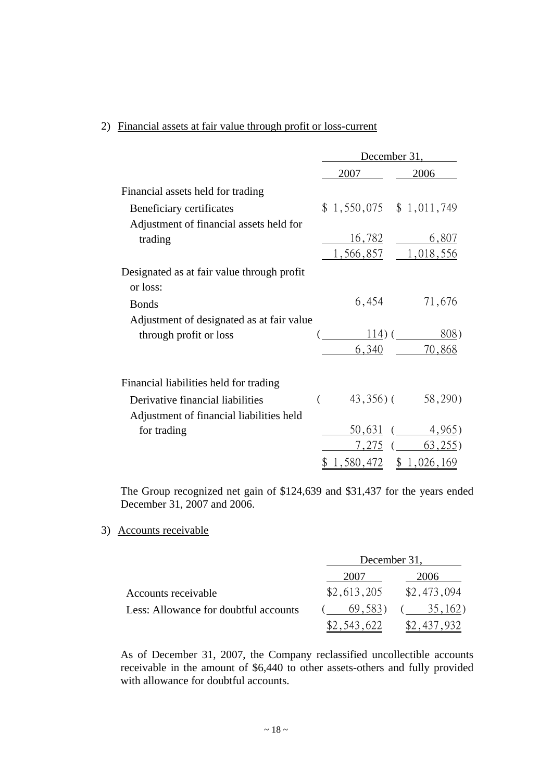# 2) Financial assets at fair value through profit or loss-current

|                                                        | December 31,     |                               |  |  |
|--------------------------------------------------------|------------------|-------------------------------|--|--|
|                                                        | 2007             | 2006                          |  |  |
| Financial assets held for trading                      |                  |                               |  |  |
| Beneficiary certificates                               |                  | $$1,550,075$ $$1,011,749$     |  |  |
| Adjustment of financial assets held for                |                  |                               |  |  |
| trading                                                | 16,782           | 6,807                         |  |  |
|                                                        | 1,566,857        | 1,018,556                     |  |  |
| Designated as at fair value through profit<br>or loss: |                  |                               |  |  |
| <b>Bonds</b>                                           | 6,454            | 71,676                        |  |  |
| Adjustment of designated as at fair value              |                  |                               |  |  |
| through profit or loss                                 |                  | 808)<br>$114)$ (              |  |  |
|                                                        | 6,340            | 70,868                        |  |  |
| Financial liabilities held for trading                 |                  |                               |  |  |
| Derivative financial liabilities                       | $\overline{(\ }$ | $43,356$ ( $58,290$ )         |  |  |
| Adjustment of financial liabilities held               |                  |                               |  |  |
| for trading                                            | 50,631           | 4,965)                        |  |  |
|                                                        |                  | $7,275$ (63,255)              |  |  |
|                                                        |                  | $\frac{1,580,472}{1,026,169}$ |  |  |

The Group recognized net gain of \$124,639 and \$31,437 for the years ended December 31, 2007 and 2006.

#### 3) Accounts receivable

|                                       | December 31, |             |
|---------------------------------------|--------------|-------------|
|                                       | 2007         | 2006        |
| Accounts receivable                   | \$2,613,205  | \$2,473,094 |
| Less: Allowance for doubtful accounts | 69.583)      | 35,162)     |
|                                       |              |             |

As of December 31, 2007, the Company reclassified uncollectible accounts receivable in the amount of \$6,440 to other assets-others and fully provided with allowance for doubtful accounts.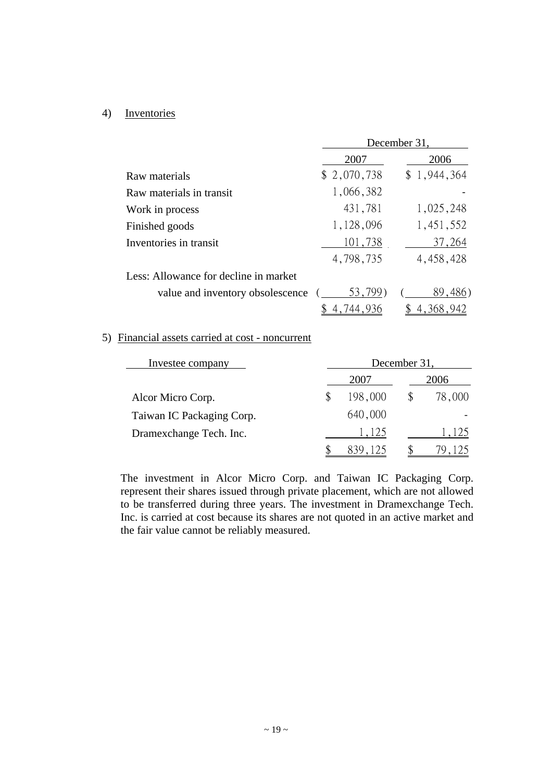### 4) Inventories

|                                       | December 31. |             |  |  |  |
|---------------------------------------|--------------|-------------|--|--|--|
|                                       | 2007         | 2006        |  |  |  |
| Raw materials                         | \$2,070,738  | \$1,944,364 |  |  |  |
| Raw materials in transit              | 1,066,382    |             |  |  |  |
| Work in process                       | 431,781      | 1,025,248   |  |  |  |
| Finished goods                        | 1,128,096    | 1,451,552   |  |  |  |
| Inventories in transit                | 101,738      | 37,264      |  |  |  |
|                                       | 4,798,735    | 4,458,428   |  |  |  |
| Less: Allowance for decline in market |              |             |  |  |  |
| value and inventory obsolescence      | 53,799       | 89,486)     |  |  |  |
|                                       |              |             |  |  |  |

## 5) Financial assets carried at cost - noncurrent

| Investee company          | December 31, |         |      |        |  |
|---------------------------|--------------|---------|------|--------|--|
|                           |              | 2007    | 2006 |        |  |
| Alcor Micro Corp.         | S            | 198,000 | \$   | 78,000 |  |
| Taiwan IC Packaging Corp. |              | 640,000 |      |        |  |
| Dramexchange Tech. Inc.   |              | 1,125   |      | 1,125  |  |
|                           |              |         |      |        |  |

The investment in Alcor Micro Corp. and Taiwan IC Packaging Corp. represent their shares issued through private placement, which are not allowed to be transferred during three years. The investment in Dramexchange Tech. Inc. is carried at cost because its shares are not quoted in an active market and the fair value cannot be reliably measured.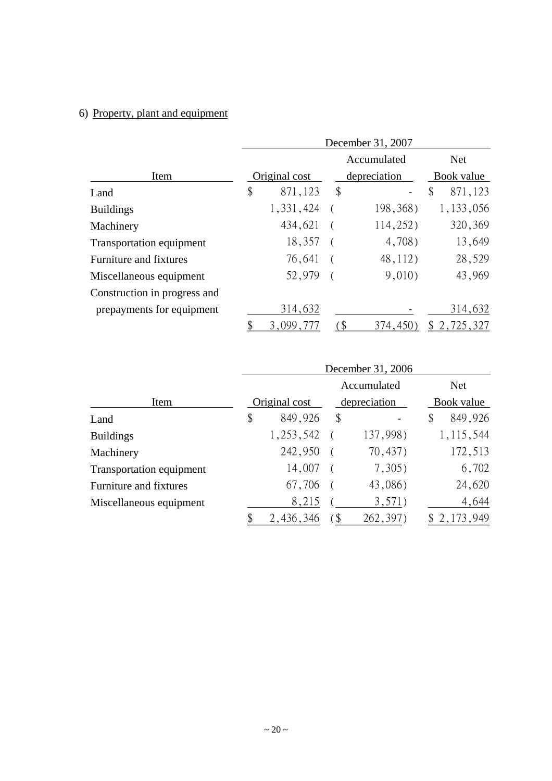# 6) Property, plant and equipment

|                              | December 31, 2007 |               |    |              |               |  |
|------------------------------|-------------------|---------------|----|--------------|---------------|--|
|                              |                   | Accumulated   |    |              | <b>Net</b>    |  |
| Item                         |                   | Original cost |    | depreciation | Book value    |  |
| Land                         | \$                | 871,123       | \$ |              | \$<br>871,123 |  |
| <b>Buildings</b>             |                   | 1,331,424     |    | 198,368)     | 1,133,056     |  |
| Machinery                    |                   | 434,621       |    | 114,252)     | 320,369       |  |
| Transportation equipment     |                   | 18,357        |    | 4,708)       | 13,649        |  |
| Furniture and fixtures       |                   | 76,641        |    | 48,112)      | 28,529        |  |
| Miscellaneous equipment      |                   | 52,979        |    | 9,010        | 43,969        |  |
| Construction in progress and |                   |               |    |              |               |  |
| prepayments for equipment    |                   | 314,632       |    |              | 314,632       |  |
|                              |                   | 3,099,777     |    | 374,450      | 2,725,327     |  |

|                          | December 31, 2006 |    |              |    |             |  |
|--------------------------|-------------------|----|--------------|----|-------------|--|
|                          |                   |    | Accumulated  |    | <b>Net</b>  |  |
| Item                     | Original cost     |    | depreciation |    | Book value  |  |
| Land                     | \$<br>849,926     | \$ |              | \$ | 849,926     |  |
| <b>Buildings</b>         | 1, 253, 542       |    | 137,998)     |    | 1, 115, 544 |  |
| Machinery                | 242,950           |    | 70,437)      |    | 172,513     |  |
| Transportation equipment | 14,007            |    | 7,305)       |    | 6,702       |  |
| Furniture and fixtures   | 67,706            |    | 43,086)      |    | 24,620      |  |
| Miscellaneous equipment  | 8,215             |    | 3,571)       |    | 4,644       |  |
|                          | 2,436,346         |    | 262,397)     |    | 2, 173, 949 |  |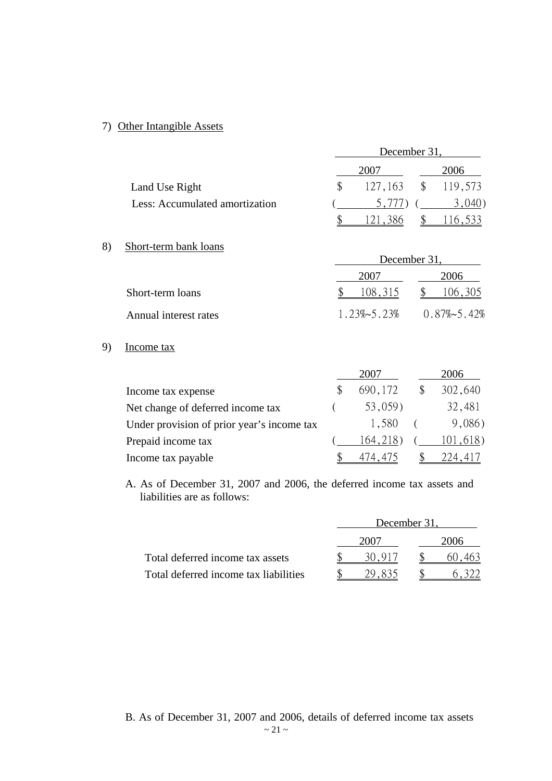# 7) Other Intangible Assets

|                                | December 31, |       |  |                    |  |
|--------------------------------|--------------|-------|--|--------------------|--|
|                                |              | 2007  |  | 2006               |  |
| Land Use Right                 |              |       |  | 127,163 \$ 119,573 |  |
| Less: Accumulated amortization |              | 5.777 |  | 3,040              |  |
|                                |              |       |  |                    |  |

# 8) Short-term bank loans

|                       |         | December 31.                              |
|-----------------------|---------|-------------------------------------------|
|                       | 2007    | 2006                                      |
| Short-term loans      | 108,315 | $\frac{106,305}{2}$                       |
| Annual interest rates |         | $1.23\% \sim 5.23\%$ 0.87\% $\sim 5.42\%$ |

# 9) Income tax

|                                            | 2007    | 2006     |
|--------------------------------------------|---------|----------|
| Income tax expense                         | 690,172 | 302,640  |
| Net change of deferred income tax          | 53,059) | 32,481   |
| Under provision of prior year's income tax | 1,580   | 9,086)   |
| Prepaid income tax                         | 164,218 | 101,618) |
| Income tax payable                         |         |          |

A. As of December 31, 2007 and 2006, the deferred income tax assets and liabilities are as follows:

|                                       | December 31. |      |
|---------------------------------------|--------------|------|
|                                       | 2007         | 2006 |
| Total deferred income tax assets      | 50.917       |      |
| Total deferred income tax liabilities |              |      |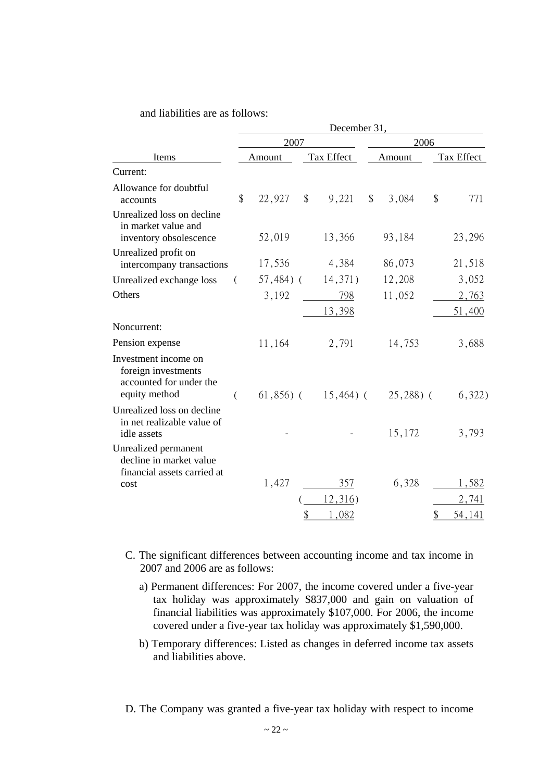### and liabilities are as follows:

|                                                                                         | December 31,               |              |               |              |       |               |            |        |  |
|-----------------------------------------------------------------------------------------|----------------------------|--------------|---------------|--------------|-------|---------------|------------|--------|--|
| Items                                                                                   |                            | 2007         |               | 2006         |       |               |            |        |  |
|                                                                                         |                            | Amount       |               | Tax Effect   |       | Amount        | Tax Effect |        |  |
| Current:                                                                                |                            |              |               |              |       |               |            |        |  |
| Allowance for doubtful<br>accounts                                                      | $\boldsymbol{\mathsf{\$}}$ | 22,927       | $\frac{1}{2}$ | 9,221        | $\$\$ | 3,084         | \$         | 771    |  |
| Unrealized loss on decline<br>in market value and<br>inventory obsolescence             |                            | 52,019       |               | 13,366       |       | 93,184        |            | 23,296 |  |
| Unrealized profit on<br>intercompany transactions                                       |                            | 17,536       |               | 4,384        |       | 86,073        |            | 21,518 |  |
| Unrealized exchange loss                                                                | €                          | $57,484$ ) ( |               | 14,371)      |       | 12,208        |            | 3,052  |  |
| Others                                                                                  |                            | 3,192        |               | 798          |       | 11,052        |            | 2,763  |  |
|                                                                                         |                            |              |               | 13,398       |       |               |            | 51,400 |  |
| Noncurrent:                                                                             |                            |              |               |              |       |               |            |        |  |
| Pension expense                                                                         |                            | 11,164       |               | 2,791        |       | 14,753        |            | 3,688  |  |
| Investment income on<br>foreign investments<br>accounted for under the<br>equity method | (                          | $61,856$ ) ( |               | $15,464$ ) ( |       | $(25, 288)$ ( |            | 6,322) |  |
| Unrealized loss on decline<br>in net realizable value of<br>idle assets                 |                            |              |               |              |       | 15,172        |            | 3,793  |  |
| Unrealized permanent<br>decline in market value<br>financial assets carried at          |                            |              |               |              |       |               |            |        |  |
| cost                                                                                    |                            | 1,427        |               | 357          |       | 6,328         |            | 1,582  |  |
|                                                                                         |                            |              |               | 12,316)      |       |               |            | 2,741  |  |
|                                                                                         |                            |              | \$            | 1,082        |       |               | \$         | 54,141 |  |

- C. The significant differences between accounting income and tax income in 2007 and 2006 are as follows:
	- a) Permanent differences: For 2007, the income covered under a five-year tax holiday was approximately \$837,000 and gain on valuation of financial liabilities was approximately \$107,000. For 2006, the income covered under a five-year tax holiday was approximately \$1,590,000.
	- b) Temporary differences: Listed as changes in deferred income tax assets and liabilities above.

D. The Company was granted a five-year tax holiday with respect to income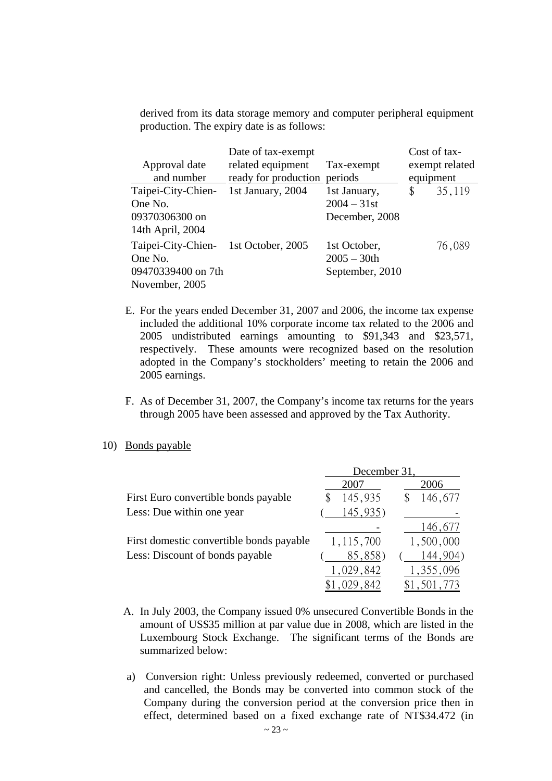derived from its data storage memory and computer peripheral equipment production. The expiry date is as follows:

| Approval date<br>and number                                           | Date of tax-exempt<br>related equipment<br>ready for production periods | Tax-exempt                                        | equipment | Cost of tax-<br>exempt related |
|-----------------------------------------------------------------------|-------------------------------------------------------------------------|---------------------------------------------------|-----------|--------------------------------|
| Taipei-City-Chien-<br>One No.<br>09370306300 on<br>14th April, 2004   | 1st January, 2004                                                       | 1st January,<br>$2004 - 31$ st<br>December, 2008  | \$        | 35,119                         |
| Taipei-City-Chien-<br>One No.<br>09470339400 on 7th<br>November, 2005 | 1st October, 2005                                                       | 1st October,<br>$2005 - 30$ th<br>September, 2010 |           | 76,089                         |

- E. For the years ended December 31, 2007 and 2006, the income tax expense included the additional 10% corporate income tax related to the 2006 and 2005 undistributed earnings amounting to \$91,343 and \$23,571, respectively. These amounts were recognized based on the resolution adopted in the Company's stockholders' meeting to retain the 2006 and 2005 earnings.
- F. As of December 31, 2007, the Company's income tax returns for the years through 2005 have been assessed and approved by the Tax Authority.
- 10) Bonds payable

|                                          | December 31, |             |  |  |  |
|------------------------------------------|--------------|-------------|--|--|--|
|                                          | 2007         | 2006        |  |  |  |
| First Euro convertible bonds payable     | 145,935      | 146,677     |  |  |  |
| Less: Due within one year                | 145,935)     |             |  |  |  |
|                                          |              | 146,677     |  |  |  |
| First domestic convertible bonds payable | 1,115,700    | 1,500,000   |  |  |  |
| Less: Discount of bonds payable          | 85,858)      | 144,904)    |  |  |  |
|                                          | 1,029,842    | 1,355,096   |  |  |  |
|                                          | \$1,029,842  | \$1,501,773 |  |  |  |

- A. In July 2003, the Company issued 0% unsecured Convertible Bonds in the amount of US\$35 million at par value due in 2008, which are listed in the Luxembourg Stock Exchange. The significant terms of the Bonds are summarized below:
- a) Conversion right: Unless previously redeemed, converted or purchased and cancelled, the Bonds may be converted into common stock of the Company during the conversion period at the conversion price then in effect, determined based on a fixed exchange rate of NT\$34.472 (in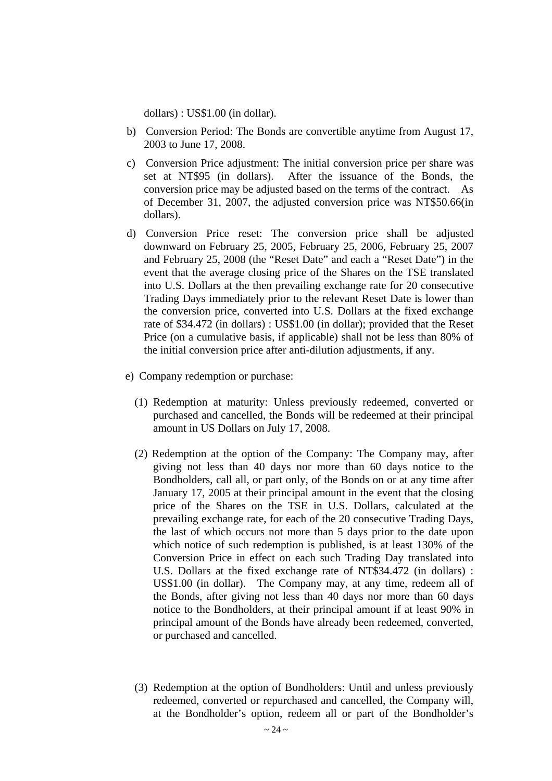dollars) : US\$1.00 (in dollar).

- b) Conversion Period: The Bonds are convertible anytime from August 17, 2003 to June 17, 2008.
- c) Conversion Price adjustment: The initial conversion price per share was set at NT\$95 (in dollars). After the issuance of the Bonds, the conversion price may be adjusted based on the terms of the contract. As of December 31, 2007, the adjusted conversion price was NT\$50.66(in dollars).
- d) Conversion Price reset: The conversion price shall be adjusted downward on February 25, 2005, February 25, 2006, February 25, 2007 and February 25, 2008 (the "Reset Date" and each a "Reset Date") in the event that the average closing price of the Shares on the TSE translated into U.S. Dollars at the then prevailing exchange rate for 20 consecutive Trading Days immediately prior to the relevant Reset Date is lower than the conversion price, converted into U.S. Dollars at the fixed exchange rate of \$34.472 (in dollars) : US\$1.00 (in dollar); provided that the Reset Price (on a cumulative basis, if applicable) shall not be less than 80% of the initial conversion price after anti-dilution adjustments, if any.
- e) Company redemption or purchase:
	- (1) Redemption at maturity: Unless previously redeemed, converted or purchased and cancelled, the Bonds will be redeemed at their principal amount in US Dollars on July 17, 2008.
	- (2) Redemption at the option of the Company: The Company may, after giving not less than 40 days nor more than 60 days notice to the Bondholders, call all, or part only, of the Bonds on or at any time after January 17, 2005 at their principal amount in the event that the closing price of the Shares on the TSE in U.S. Dollars, calculated at the prevailing exchange rate, for each of the 20 consecutive Trading Days, the last of which occurs not more than 5 days prior to the date upon which notice of such redemption is published, is at least 130% of the Conversion Price in effect on each such Trading Day translated into U.S. Dollars at the fixed exchange rate of NT\$34.472 (in dollars) : US\$1.00 (in dollar). The Company may, at any time, redeem all of the Bonds, after giving not less than 40 days nor more than 60 days notice to the Bondholders, at their principal amount if at least 90% in principal amount of the Bonds have already been redeemed, converted, or purchased and cancelled.
	- (3) Redemption at the option of Bondholders: Until and unless previously redeemed, converted or repurchased and cancelled, the Company will, at the Bondholder's option, redeem all or part of the Bondholder's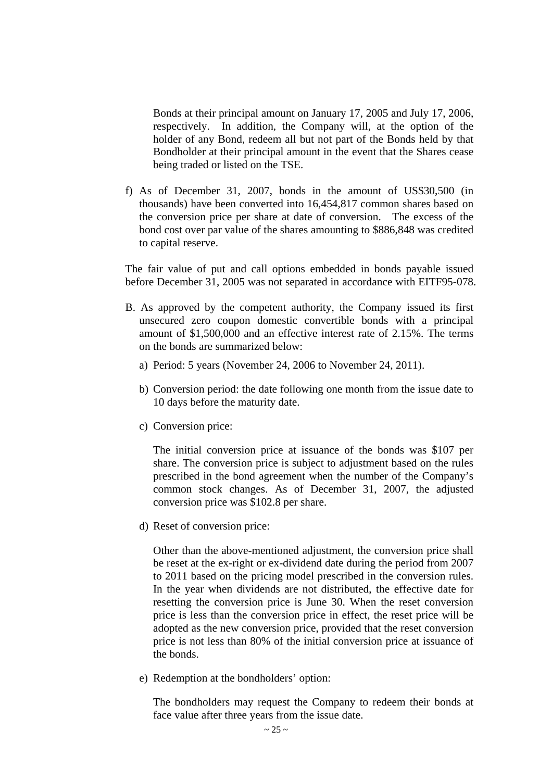Bonds at their principal amount on January 17, 2005 and July 17, 2006, respectively. In addition, the Company will, at the option of the holder of any Bond, redeem all but not part of the Bonds held by that Bondholder at their principal amount in the event that the Shares cease being traded or listed on the TSE.

f) As of December 31, 2007, bonds in the amount of US\$30,500 (in thousands) have been converted into 16,454,817 common shares based on the conversion price per share at date of conversion. The excess of the bond cost over par value of the shares amounting to \$886,848 was credited to capital reserve.

The fair value of put and call options embedded in bonds payable issued before December 31, 2005 was not separated in accordance with EITF95-078.

- B. As approved by the competent authority, the Company issued its first unsecured zero coupon domestic convertible bonds with a principal amount of \$1,500,000 and an effective interest rate of 2.15%. The terms on the bonds are summarized below:
	- a) Period: 5 years (November 24, 2006 to November 24, 2011).
	- b) Conversion period: the date following one month from the issue date to 10 days before the maturity date.
	- c) Conversion price:

The initial conversion price at issuance of the bonds was \$107 per share. The conversion price is subject to adjustment based on the rules prescribed in the bond agreement when the number of the Company's common stock changes. As of December 31, 2007, the adjusted conversion price was \$102.8 per share.

d) Reset of conversion price:

Other than the above-mentioned adjustment, the conversion price shall be reset at the ex-right or ex-dividend date during the period from 2007 to 2011 based on the pricing model prescribed in the conversion rules. In the year when dividends are not distributed, the effective date for resetting the conversion price is June 30. When the reset conversion price is less than the conversion price in effect, the reset price will be adopted as the new conversion price, provided that the reset conversion price is not less than 80% of the initial conversion price at issuance of the bonds.

e) Redemption at the bondholders' option:

The bondholders may request the Company to redeem their bonds at face value after three years from the issue date.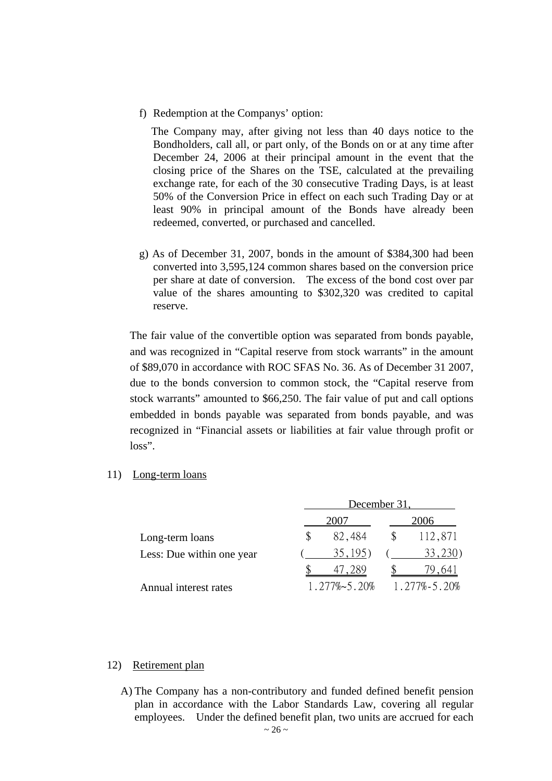f) Redemption at the Companys' option:

 The Company may, after giving not less than 40 days notice to the Bondholders, call all, or part only, of the Bonds on or at any time after December 24, 2006 at their principal amount in the event that the closing price of the Shares on the TSE, calculated at the prevailing exchange rate, for each of the 30 consecutive Trading Days, is at least 50% of the Conversion Price in effect on each such Trading Day or at least 90% in principal amount of the Bonds have already been redeemed, converted, or purchased and cancelled.

g) As of December 31, 2007, bonds in the amount of \$384,300 had been converted into 3,595,124 common shares based on the conversion price per share at date of conversion. The excess of the bond cost over par value of the shares amounting to \$302,320 was credited to capital reserve.

The fair value of the convertible option was separated from bonds payable, and was recognized in "Capital reserve from stock warrants" in the amount of \$89,070 in accordance with ROC SFAS No. 36. As of December 31 2007, due to the bonds conversion to common stock, the "Capital reserve from stock warrants" amounted to \$66,250. The fair value of put and call options embedded in bonds payable was separated from bonds payable, and was recognized in "Financial assets or liabilities at fair value through profit or loss".

11) Long-term loans

|                           | December 31, |                       |  |                    |  |  |
|---------------------------|--------------|-----------------------|--|--------------------|--|--|
|                           |              | 2007                  |  | 2006               |  |  |
| Long-term loans           | \$.          | 82,484                |  | 112,871            |  |  |
| Less: Due within one year |              | 35,195)               |  | 33,230)            |  |  |
|                           |              |                       |  | .641               |  |  |
| Annual interest rates     |              | $1.277\% \sim 5.20\%$ |  | $1.277\% - 5.20\%$ |  |  |

### 12) Retirement plan

A) The Company has a non-contributory and funded defined benefit pension plan in accordance with the Labor Standards Law, covering all regular employees. Under the defined benefit plan, two units are accrued for each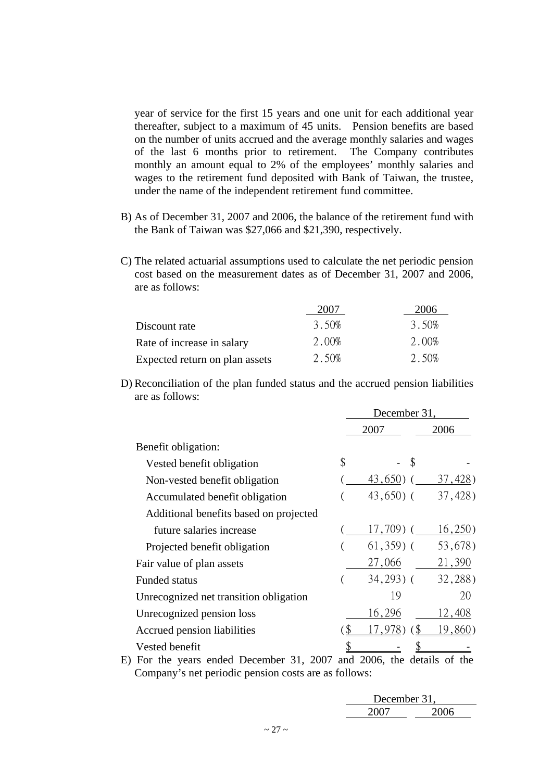year of service for the first 15 years and one unit for each additional year thereafter, subject to a maximum of 45 units. Pension benefits are based on the number of units accrued and the average monthly salaries and wages of the last 6 months prior to retirement. The Company contributes monthly an amount equal to 2% of the employees' monthly salaries and wages to the retirement fund deposited with Bank of Taiwan, the trustee, under the name of the independent retirement fund committee.

- B) As of December 31, 2007 and 2006, the balance of the retirement fund with the Bank of Taiwan was \$27,066 and \$21,390, respectively.
- C) The related actuarial assumptions used to calculate the net periodic pension cost based on the measurement dates as of December 31, 2007 and 2006, are as follows:

|                                | 2007  | 2006  |
|--------------------------------|-------|-------|
| Discount rate                  | 3.50% | 3.50% |
| Rate of increase in salary     | 2.00% | 2.00% |
| Expected return on plan assets | 2.50% | 2.50% |

D) Reconciliation of the plan funded status and the accrued pension liabilities are as follows:

|                                          | December 31,                |         |  |  |
|------------------------------------------|-----------------------------|---------|--|--|
|                                          | 2007                        | 2006    |  |  |
| Benefit obligation:                      |                             |         |  |  |
| Vested benefit obligation                | \$<br>$\mathcal{S}$         |         |  |  |
| Non-vested benefit obligation            | $43,650$ ) (                | 37,428) |  |  |
| Accumulated benefit obligation           | $43,650$ ) (                | 37,428) |  |  |
| Additional benefits based on projected   |                             |         |  |  |
| future salaries increase                 | $17,709$ ) (                | 16,250) |  |  |
| Projected benefit obligation             | $61,359$ (                  | 53,678) |  |  |
| Fair value of plan assets                | 27,066                      | 21,390  |  |  |
| <b>Funded status</b>                     | $34,293$ ) (                | 32,288) |  |  |
| Unrecognized net transition obligation   | 19                          | 20      |  |  |
| Unrecognized pension loss                | 16,296                      | 12,408  |  |  |
| Accrued pension liabilities              | 17,978)                     | 19,860) |  |  |
| Vested benefit                           |                             |         |  |  |
| Eau tha riagna andad Dagamban 21<br>פ∩∩ר | and 2006 the details of the |         |  |  |

E) For the years ended December 31, 2007 and 2006, the details of the Company's net periodic pension costs are as follows:

| December 31. |      |  |
|--------------|------|--|
| 2007         | 2006 |  |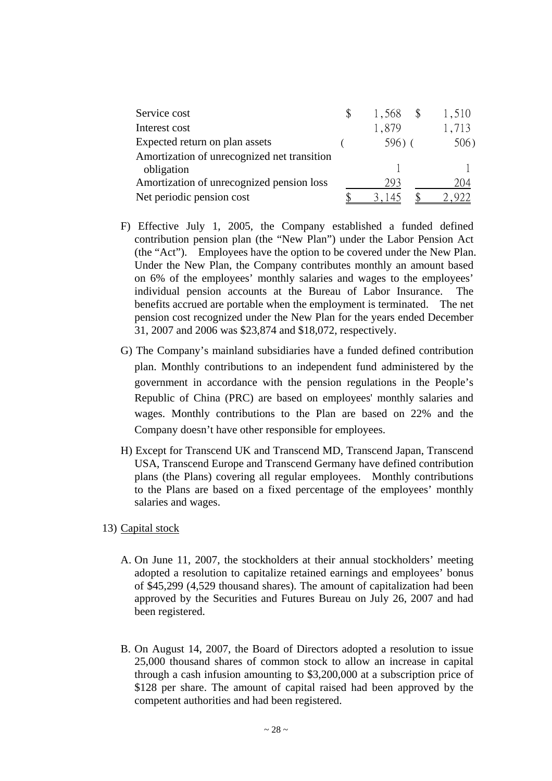| Service cost                                            | 1,568  | 1,510 |
|---------------------------------------------------------|--------|-------|
| Interest cost                                           | 1,879  | 1,713 |
| Expected return on plan assets                          | 596) ( | 506)  |
| Amortization of unrecognized net transition             |        |       |
| obligation<br>Amortization of unrecognized pension loss | 293    | 204   |
| Net periodic pension cost                               |        |       |

- F) Effective July 1, 2005, the Company established a funded defined contribution pension plan (the "New Plan") under the Labor Pension Act (the "Act"). Employees have the option to be covered under the New Plan. Under the New Plan, the Company contributes monthly an amount based on 6% of the employees' monthly salaries and wages to the employees' individual pension accounts at the Bureau of Labor Insurance. The benefits accrued are portable when the employment is terminated. The net pension cost recognized under the New Plan for the years ended December 31, 2007 and 2006 was \$23,874 and \$18,072, respectively.
- G) The Company's mainland subsidiaries have a funded defined contribution plan. Monthly contributions to an independent fund administered by the government in accordance with the pension regulations in the People's Republic of China (PRC) are based on employees' monthly salaries and wages. Monthly contributions to the Plan are based on 22% and the Company doesn't have other responsible for employees.
- H) Except for Transcend UK and Transcend MD, Transcend Japan, Transcend USA, Transcend Europe and Transcend Germany have defined contribution plans (the Plans) covering all regular employees. Monthly contributions to the Plans are based on a fixed percentage of the employees' monthly salaries and wages.
- 13) Capital stock
	- A. On June 11, 2007, the stockholders at their annual stockholders' meeting adopted a resolution to capitalize retained earnings and employees' bonus of \$45,299 (4,529 thousand shares). The amount of capitalization had been approved by the Securities and Futures Bureau on July 26, 2007 and had been registered.
	- B. On August 14, 2007, the Board of Directors adopted a resolution to issue 25,000 thousand shares of common stock to allow an increase in capital through a cash infusion amounting to \$3,200,000 at a subscription price of \$128 per share. The amount of capital raised had been approved by the competent authorities and had been registered.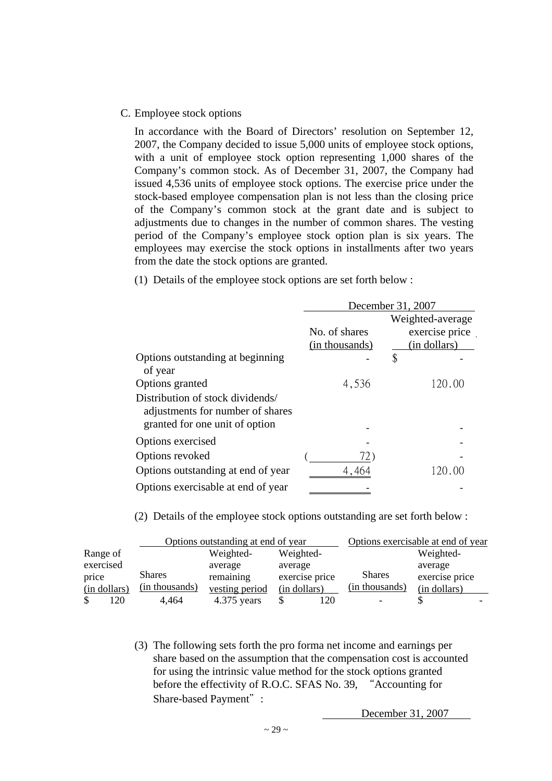#### C. Employee stock options

In accordance with the Board of Directors' resolution on September 12, 2007, the Company decided to issue 5,000 units of employee stock options, with a unit of employee stock option representing 1,000 shares of the Company's common stock. As of December 31, 2007, the Company had issued 4,536 units of employee stock options. The exercise price under the stock-based employee compensation plan is not less than the closing price of the Company's common stock at the grant date and is subject to adjustments due to changes in the number of common shares. The vesting period of the Company's employee stock option plan is six years. The employees may exercise the stock options in installments after two years from the date the stock options are granted.

(1) Details of the employee stock options are set forth below :

|                                                                                                        | December 31, 2007 |                  |  |
|--------------------------------------------------------------------------------------------------------|-------------------|------------------|--|
|                                                                                                        |                   | Weighted-average |  |
|                                                                                                        | No. of shares     | exercise price   |  |
|                                                                                                        | (in thousands)    | (in dollars)     |  |
| Options outstanding at beginning<br>of year                                                            |                   | \$               |  |
| Options granted                                                                                        | 4,536             | 120.00           |  |
| Distribution of stock dividends/<br>adjustments for number of shares<br>granted for one unit of option |                   |                  |  |
|                                                                                                        |                   |                  |  |
| Options exercised                                                                                      |                   |                  |  |
| Options revoked                                                                                        | 72)               |                  |  |
| Options outstanding at end of year                                                                     | 4,464             | 120.00           |  |
| Options exercisable at end of year                                                                     |                   |                  |  |

(2) Details of the employee stock options outstanding are set forth below :

|              | Options outstanding at end of year |                | Options exercisable at end of year |                |                |
|--------------|------------------------------------|----------------|------------------------------------|----------------|----------------|
| Range of     |                                    | Weighted-      | Weighted-                          |                | Weighted-      |
| exercised    |                                    | average        | average                            |                | average        |
| price        | <b>Shares</b>                      | remaining      | exercise price                     | <b>Shares</b>  | exercise price |
| (in dollars) | (in thousands)                     | vesting period | (in dollars)                       | (in thousands) | (in dollars)   |
| 120          | 4.464                              | $4.375$ years  | 120                                |                |                |

(3) The following sets forth the pro forma net income and earnings per share based on the assumption that the compensation cost is accounted for using the intrinsic value method for the stock options granted before the effectivity of R.O.C. SFAS No. 39, "Accounting for Share-based Payment":

December 31, 2007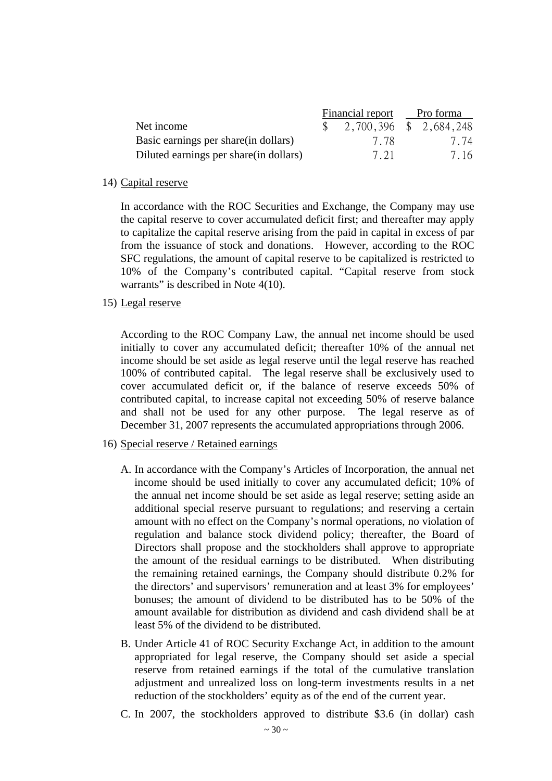|                                         | Financial report Pro forma |      |
|-----------------------------------------|----------------------------|------|
| Net income                              | 2,700,396 \$ 2,684,248     |      |
| Basic earnings per share (in dollars)   | 778                        | 7.74 |
| Diluted earnings per share (in dollars) | 7 21                       | 7.16 |

#### 14) Capital reserve

In accordance with the ROC Securities and Exchange, the Company may use the capital reserve to cover accumulated deficit first; and thereafter may apply to capitalize the capital reserve arising from the paid in capital in excess of par from the issuance of stock and donations. However, according to the ROC SFC regulations, the amount of capital reserve to be capitalized is restricted to 10% of the Company's contributed capital. "Capital reserve from stock warrants" is described in Note 4(10).

15) Legal reserve

According to the ROC Company Law, the annual net income should be used initially to cover any accumulated deficit; thereafter 10% of the annual net income should be set aside as legal reserve until the legal reserve has reached 100% of contributed capital. The legal reserve shall be exclusively used to cover accumulated deficit or, if the balance of reserve exceeds 50% of contributed capital, to increase capital not exceeding 50% of reserve balance and shall not be used for any other purpose. The legal reserve as of December 31, 2007 represents the accumulated appropriations through 2006.

- 16) Special reserve / Retained earnings
	- A. In accordance with the Company's Articles of Incorporation, the annual net income should be used initially to cover any accumulated deficit; 10% of the annual net income should be set aside as legal reserve; setting aside an additional special reserve pursuant to regulations; and reserving a certain amount with no effect on the Company's normal operations, no violation of regulation and balance stock dividend policy; thereafter, the Board of Directors shall propose and the stockholders shall approve to appropriate the amount of the residual earnings to be distributed. When distributing the remaining retained earnings, the Company should distribute 0.2% for the directors' and supervisors' remuneration and at least 3% for employees' bonuses; the amount of dividend to be distributed has to be 50% of the amount available for distribution as dividend and cash dividend shall be at least 5% of the dividend to be distributed.
	- B. Under Article 41 of ROC Security Exchange Act, in addition to the amount appropriated for legal reserve, the Company should set aside a special reserve from retained earnings if the total of the cumulative translation adjustment and unrealized loss on long-term investments results in a net reduction of the stockholders' equity as of the end of the current year.
	- C. In 2007, the stockholders approved to distribute \$3.6 (in dollar) cash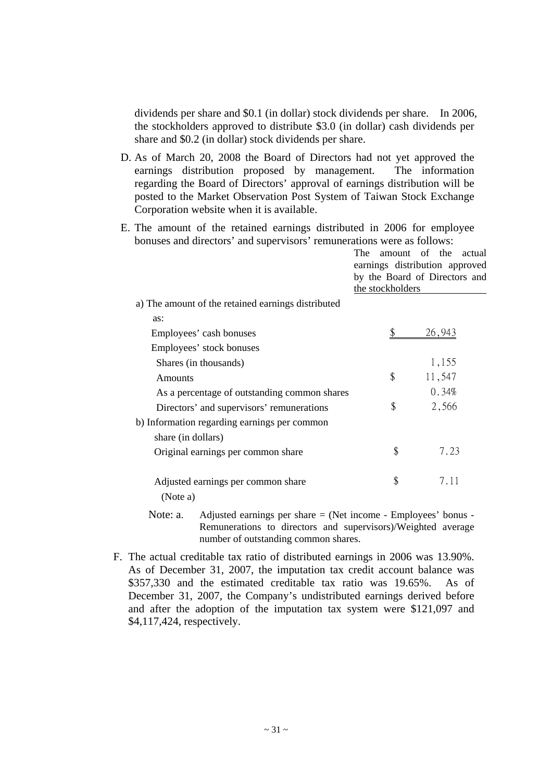dividends per share and \$0.1 (in dollar) stock dividends per share. In 2006, the stockholders approved to distribute \$3.0 (in dollar) cash dividends per share and \$0.2 (in dollar) stock dividends per share.

D. As of March 20, 2008 the Board of Directors had not yet approved the earnings distribution proposed by management. The information regarding the Board of Directors' approval of earnings distribution will be posted to the Market Observation Post System of Taiwan Stock Exchange Corporation website when it is available.

E. The amount of the retained earnings distributed in 2006 for employee bonuses and directors' and supervisors' remunerations were as follows:

|  | The amount of the actual       |  |  |
|--|--------------------------------|--|--|
|  | earnings distribution approved |  |  |
|  | by the Board of Directors and  |  |  |
|  | the stockholders               |  |  |
|  |                                |  |  |

a) The amount of the retained earnings distributed

| as:                                            |              |
|------------------------------------------------|--------------|
| Employees' cash bonuses                        | 26,943       |
| Employees' stock bonuses                       |              |
| Shares (in thousands)                          | 1,155        |
| Amounts                                        | \$<br>11,547 |
| As a percentage of outstanding common shares   | 0.34%        |
| Directors' and supervisors' remunerations      | \$<br>2,566  |
| b) Information regarding earnings per common   |              |
| share (in dollars)                             |              |
| Original earnings per common share             | \$<br>7.23   |
| Adjusted earnings per common share<br>(Note a) | \$<br>7.11   |
|                                                |              |

- Note: a. Adjusted earnings per share  $=$  (Net income Employees' bonus -Remunerations to directors and supervisors)/Weighted average number of outstanding common shares.
- F. The actual creditable tax ratio of distributed earnings in 2006 was 13.90%. As of December 31, 2007, the imputation tax credit account balance was \$357,330 and the estimated creditable tax ratio was 19.65%. As of December 31, 2007, the Company's undistributed earnings derived before and after the adoption of the imputation tax system were \$121,097 and \$4,117,424, respectively.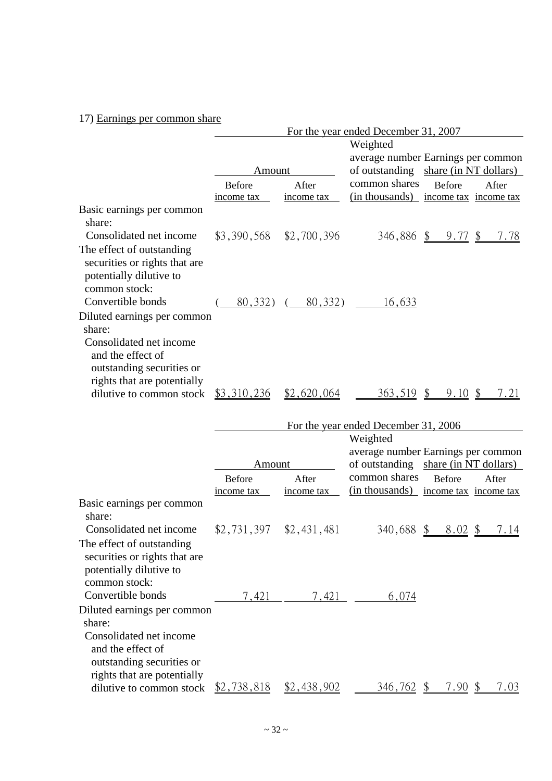# 17) Earnings per common share

|                                                                                                                                                   |                           |                         | For the year ended December 31, 2007 |                                      |
|---------------------------------------------------------------------------------------------------------------------------------------------------|---------------------------|-------------------------|--------------------------------------|--------------------------------------|
|                                                                                                                                                   |                           |                         | Weighted                             |                                      |
|                                                                                                                                                   |                           |                         |                                      | average number Earnings per common   |
|                                                                                                                                                   | Amount                    |                         |                                      | of outstanding share (in NT dollars) |
|                                                                                                                                                   | <b>Before</b>             | After                   | common shares                        | <b>Before</b><br>After               |
|                                                                                                                                                   | income tax                | income tax              |                                      | (in thousands) income tax income tax |
| Basic earnings per common<br>share:                                                                                                               |                           |                         |                                      |                                      |
| Consolidated net income<br>The effect of outstanding<br>securities or rights that are<br>potentially dilutive to<br>common stock:                 | \$3,390,568               | \$2,700,396             |                                      | 346,886 \$ 9.77 \$<br>7.78           |
| Convertible bonds                                                                                                                                 |                           | $(80, 332)$ $(80, 332)$ | 16,633                               |                                      |
| Diluted earnings per common<br>share:<br>Consolidated net income<br>and the effect of<br>outstanding securities or<br>rights that are potentially |                           |                         |                                      |                                      |
| dilutive to common stock                                                                                                                          | \$3,310,236               | \$2,620,064             | $363,519$ \$                         | $9.10\,$ \$<br>7.21                  |
|                                                                                                                                                   |                           |                         |                                      |                                      |
|                                                                                                                                                   |                           |                         | For the year ended December 31, 2006 |                                      |
|                                                                                                                                                   |                           |                         | Weighted                             |                                      |
|                                                                                                                                                   |                           |                         |                                      | average number Earnings per common   |
|                                                                                                                                                   | Amount                    |                         |                                      | of outstanding share (in NT dollars) |
|                                                                                                                                                   | <b>Before</b>             | After                   | common shares                        | <b>Before</b><br>After               |
|                                                                                                                                                   | income tax                | income tax              |                                      | (in thousands) income tax income tax |
| Basic earnings per common<br>share:                                                                                                               |                           |                         |                                      |                                      |
| Consolidated net income<br>The effect of outstanding<br>securities or rights that are<br>potentially dilutive to<br>common stock:                 | $$2,731,397$ $$2,431,481$ |                         |                                      | 340,688 <u>\$ 8.02 \$</u><br>7.14    |
| Convertible bonds                                                                                                                                 | 7,421                     | 7,421                   | 6,074                                |                                      |
| Diluted earnings per common                                                                                                                       |                           |                         |                                      |                                      |
| share:<br>Consolidated net income<br>and the effect of<br>outstanding securities or<br>rights that are potentially                                |                           |                         |                                      |                                      |
| dilutive to common stock                                                                                                                          | $$2,738,818$ $$2,438,902$ |                         | <u>346,762 \$</u>                    | 7.90S<br>7.03                        |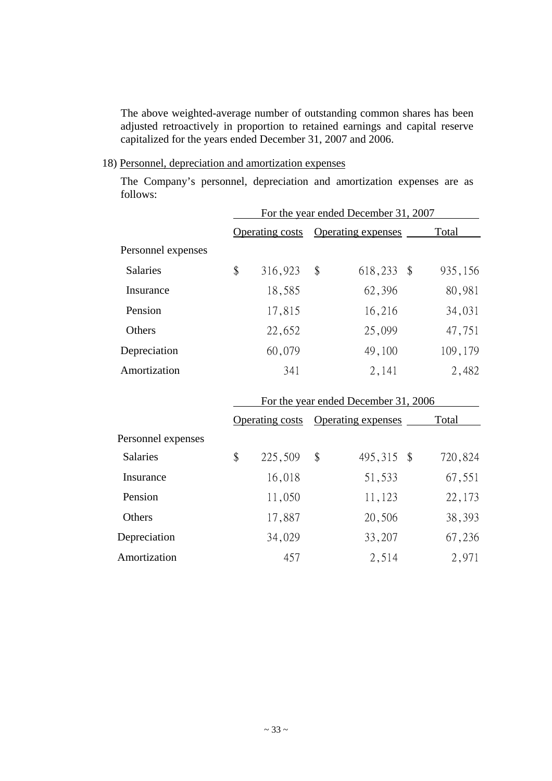The above weighted-average number of outstanding common shares has been adjusted retroactively in proportion to retained earnings and capital reserve capitalized for the years ended December 31, 2007 and 2006.

18) Personnel, depreciation and amortization expenses

The Company's personnel, depreciation and amortization expenses are as follows:

|                    | For the year ended December 31, 2007 |                        |    |                           |         |  |
|--------------------|--------------------------------------|------------------------|----|---------------------------|---------|--|
|                    |                                      | <b>Operating costs</b> |    | <b>Operating expenses</b> | Total   |  |
| Personnel expenses |                                      |                        |    |                           |         |  |
| <b>Salaries</b>    | \$                                   | 316,923                | \$ | 618,233<br>- \$           | 935,156 |  |
| Insurance          |                                      | 18,585                 |    | 62,396                    | 80,981  |  |
| Pension            |                                      | 17,815                 |    | 16,216                    | 34,031  |  |
| Others             |                                      | 22,652                 |    | 25,099                    | 47,751  |  |
| Depreciation       |                                      | 60,079                 |    | 49,100                    | 109,179 |  |
| Amortization       |                                      | 341                    |    | 2,141                     | 2,482   |  |

|                    | For the year ended December 31, 2006 |                        |    |                           |         |
|--------------------|--------------------------------------|------------------------|----|---------------------------|---------|
|                    |                                      | <b>Operating costs</b> |    | <b>Operating expenses</b> | Total   |
| Personnel expenses |                                      |                        |    |                           |         |
| <b>Salaries</b>    | \$                                   | 225,509                | \$ | 495,315 \$                | 720,824 |
| Insurance          |                                      | 16,018                 |    | 51,533                    | 67,551  |
| Pension            |                                      | 11,050                 |    | 11,123                    | 22,173  |
| Others             |                                      | 17,887                 |    | 20,506                    | 38,393  |
| Depreciation       |                                      | 34,029                 |    | 33,207                    | 67,236  |
| Amortization       |                                      | 457                    |    | 2,514                     | 2,971   |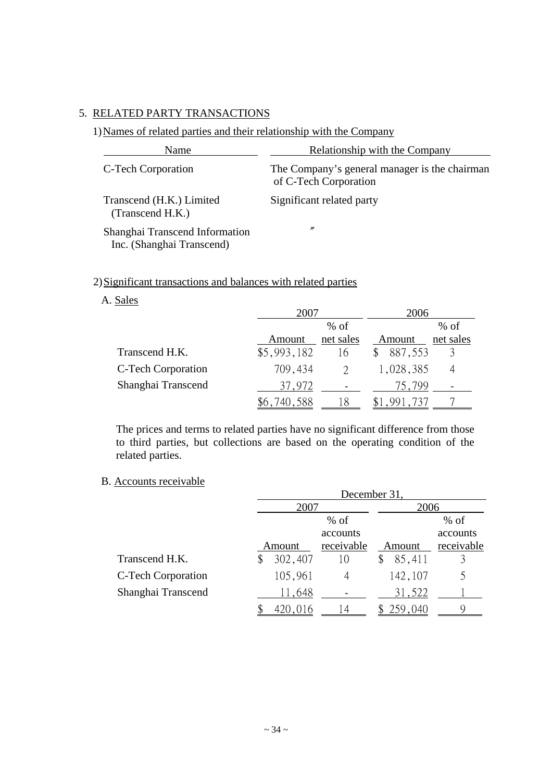# 5. RELATED PARTY TRANSACTIONS

# 1) Names of related parties and their relationship with the Company

| Name                                                        | Relationship with the Company                                          |
|-------------------------------------------------------------|------------------------------------------------------------------------|
| C-Tech Corporation                                          | The Company's general manager is the chairman<br>of C-Tech Corporation |
| Transcend (H.K.) Limited<br>(Transcend H.K.)                | Significant related party                                              |
| Shanghai Transcend Information<br>Inc. (Shanghai Transcend) | $\prime\prime$                                                         |

# 2) Significant transactions and balances with related parties

# A. Sales

|                    | $00^{\circ}$ |           | 2006      |           |  |  |
|--------------------|--------------|-----------|-----------|-----------|--|--|
|                    |              | $%$ of    |           | $%$ of    |  |  |
|                    | Amount       | net sales | Amount    | net sales |  |  |
| Transcend H.K.     | \$5,993,182  | 16        | 887,553   |           |  |  |
| C-Tech Corporation | 709,434      |           | 1,028,385 |           |  |  |
| Shanghai Transcend | 37,972       |           | 75,799    |           |  |  |
|                    |              |           |           |           |  |  |

The prices and terms to related parties have no significant difference from those to third parties, but collections are based on the operating condition of the related parties.

# B. Accounts receivable

|                           | December 31, |            |         |            |  |  |  |  |  |
|---------------------------|--------------|------------|---------|------------|--|--|--|--|--|
|                           | 2007         |            | 2006    |            |  |  |  |  |  |
|                           |              | $%$ of     |         | $%$ of     |  |  |  |  |  |
|                           |              | accounts   |         | accounts   |  |  |  |  |  |
|                           | Amount       | receivable | Amount  | receivable |  |  |  |  |  |
| Transcend H.K.            | 302,407      | 10         | 85,411  |            |  |  |  |  |  |
| <b>C-Tech Corporation</b> | 105,961      | 4          | 142,107 |            |  |  |  |  |  |
| Shanghai Transcend        | 11,648       |            | 31,522  |            |  |  |  |  |  |
|                           | 420,016      |            | 259,040 |            |  |  |  |  |  |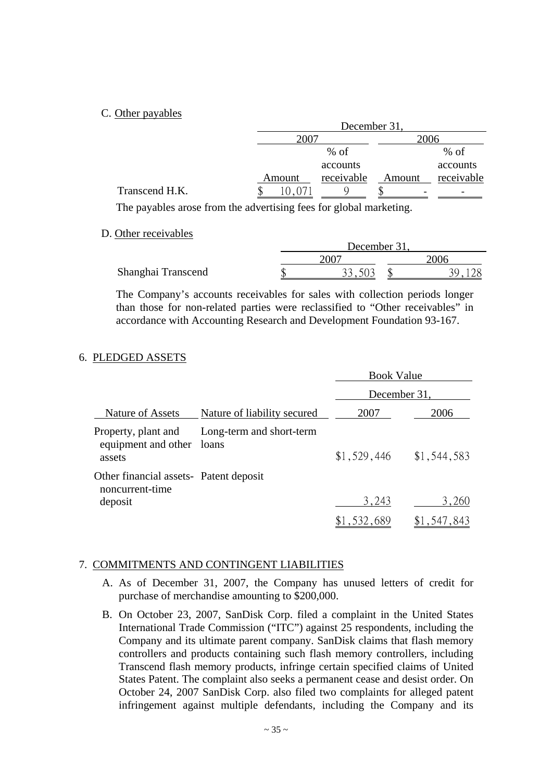### C. Other payables

|                |        | December 31, |        |            |  |  |  |  |  |
|----------------|--------|--------------|--------|------------|--|--|--|--|--|
|                | 2007   |              | 2006   |            |  |  |  |  |  |
|                |        | $%$ of       |        | $%$ of     |  |  |  |  |  |
|                |        | accounts     |        | accounts   |  |  |  |  |  |
|                | Amount | receivable   | Amount | receivable |  |  |  |  |  |
| Transcend H.K. |        |              |        |            |  |  |  |  |  |

The payables arose from the advertising fees for global marketing.

D. Other receivables

|                    | December 31,  |  |  |  |  |  |
|--------------------|---------------|--|--|--|--|--|
|                    | $200^{\circ}$ |  |  |  |  |  |
| Shanghai Transcend |               |  |  |  |  |  |

The Company's accounts receivables for sales with collection periods longer than those for non-related parties were reclassified to "Other receivables" in accordance with Accounting Research and Development Foundation 93-167.

## 6. PLEDGED ASSETS

|                                                                      |                                   | <b>Book Value</b> |             |  |  |
|----------------------------------------------------------------------|-----------------------------------|-------------------|-------------|--|--|
|                                                                      |                                   | December 31,      |             |  |  |
| Nature of Assets                                                     | Nature of liability secured       | 2007              | 2006        |  |  |
| Property, plant and<br>equipment and other<br>assets                 | Long-term and short-term<br>loans | \$1,529,446       | \$1,544,583 |  |  |
| Other financial assets- Patent deposit<br>noncurrent-time<br>deposit |                                   | 3,243             | 3,260       |  |  |
|                                                                      |                                   | \$1,532,689       | \$1,547,843 |  |  |

### 7. COMMITMENTS AND CONTINGENT LIABILITIES

- A. As of December 31, 2007, the Company has unused letters of credit for purchase of merchandise amounting to \$200,000.
- B. On October 23, 2007, SanDisk Corp. filed a complaint in the United States International Trade Commission ("ITC") against 25 respondents, including the Company and its ultimate parent company. SanDisk claims that flash memory controllers and products containing such flash memory controllers, including Transcend flash memory products, infringe certain specified claims of United States Patent. The complaint also seeks a permanent cease and desist order. On October 24, 2007 SanDisk Corp. also filed two complaints for alleged patent infringement against multiple defendants, including the Company and its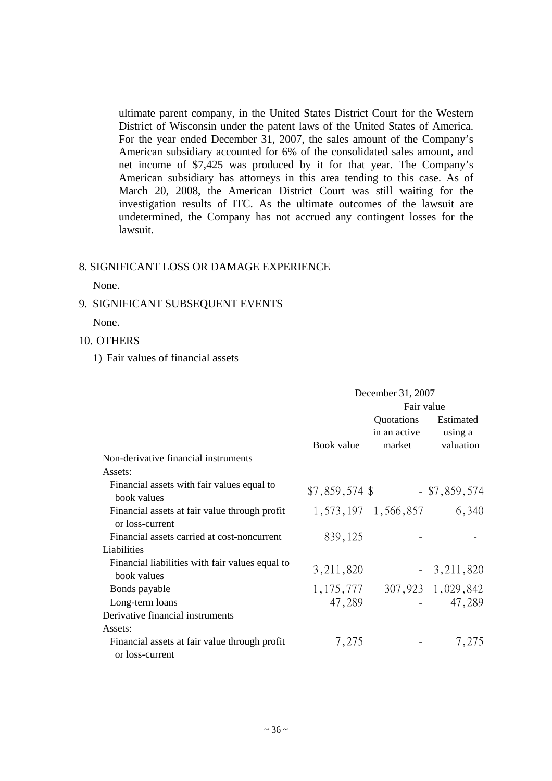ultimate parent company, in the United States District Court for the Western District of Wisconsin under the patent laws of the United States of America. For the year ended December 31, 2007, the sales amount of the Company's American subsidiary accounted for 6% of the consolidated sales amount, and net income of \$7,425 was produced by it for that year. The Company's American subsidiary has attorneys in this area tending to this case. As of March 20, 2008, the American District Court was still waiting for the investigation results of ITC. As the ultimate outcomes of the lawsuit are undetermined, the Company has not accrued any contingent losses for the lawsuit.

#### 8. SIGNIFICANT LOSS OR DAMAGE EXPERIENCE

None.

#### 9. SIGNIFICANT SUBSEQUENT EVENTS

None.

#### 10. OTHERS

### 1) Fair values of financial assets

|                                                                  | December 31, 2007 |                                      |                                   |  |  |  |  |
|------------------------------------------------------------------|-------------------|--------------------------------------|-----------------------------------|--|--|--|--|
|                                                                  | Fair value        |                                      |                                   |  |  |  |  |
|                                                                  | <b>Book value</b> | Quotations<br>in an active<br>market | Estimated<br>using a<br>valuation |  |  |  |  |
| Non-derivative financial instruments                             |                   |                                      |                                   |  |  |  |  |
| Assets:                                                          |                   |                                      |                                   |  |  |  |  |
| Financial assets with fair values equal to<br>book values        | $$7,859,574$ \$   |                                      | $-$ \$7,859,574                   |  |  |  |  |
| Financial assets at fair value through profit<br>or loss-current |                   | 1, 573, 197 1, 566, 857              | 6,340                             |  |  |  |  |
| Financial assets carried at cost-noncurrent                      | 839,125           |                                      |                                   |  |  |  |  |
| Liabilities                                                      |                   |                                      |                                   |  |  |  |  |
| Financial liabilities with fair values equal to<br>book values   | 3, 211, 820       |                                      | $-3,211,820$                      |  |  |  |  |
| Bonds payable                                                    | 1, 175, 777       |                                      | 307,923 1,029,842                 |  |  |  |  |
| Long-term loans                                                  | 47,289            |                                      | 47,289                            |  |  |  |  |
| Derivative financial instruments                                 |                   |                                      |                                   |  |  |  |  |
| Assets:                                                          |                   |                                      |                                   |  |  |  |  |
| Financial assets at fair value through profit<br>or loss-current | 7,275             |                                      | 7,275                             |  |  |  |  |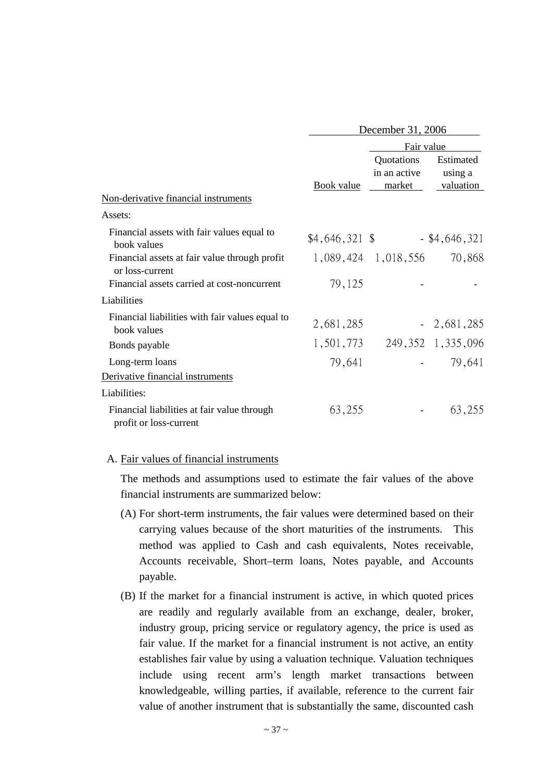|                                                                       | December 31, 2006 |                                      |                                          |  |  |  |  |
|-----------------------------------------------------------------------|-------------------|--------------------------------------|------------------------------------------|--|--|--|--|
|                                                                       |                   | Fair value                           |                                          |  |  |  |  |
| Non-derivative financial instruments                                  |                   | Quotations<br>in an active<br>market | Estimated<br>using a<br><u>valuation</u> |  |  |  |  |
| Assets:                                                               |                   |                                      |                                          |  |  |  |  |
| Financial assets with fair values equal to<br>book values             | $$4,646,321$ \$   |                                      | $-$ \$4,646,321                          |  |  |  |  |
| Financial assets at fair value through profit                         |                   | 1,089,424 1,018,556                  | 70,868                                   |  |  |  |  |
| or loss-current<br>Financial assets carried at cost-noncurrent        | 79,125            |                                      |                                          |  |  |  |  |
| Liabilities                                                           |                   |                                      |                                          |  |  |  |  |
| Financial liabilities with fair values equal to<br>book values        | 2,681,285         |                                      | $-2,681,285$                             |  |  |  |  |
| Bonds payable                                                         | 1,501,773         |                                      | 249, 352 1, 335, 096                     |  |  |  |  |
| Long-term loans                                                       | 79,641            |                                      | 79,641                                   |  |  |  |  |
| Derivative financial instruments                                      |                   |                                      |                                          |  |  |  |  |
| Liabilities:                                                          |                   |                                      |                                          |  |  |  |  |
| Financial liabilities at fair value through<br>profit or loss-current | 63,255            |                                      | 63,255                                   |  |  |  |  |

### A. Fair values of financial instruments

The methods and assumptions used to estimate the fair values of the above financial instruments are summarized below:

- (A) For short-term instruments, the fair values were determined based on their carrying values because of the short maturities of the instruments. This method was applied to Cash and cash equivalents, Notes receivable, Accounts receivable, Short–term loans, Notes payable, and Accounts payable.
- (B) If the market for a financial instrument is active, in which quoted prices are readily and regularly available from an exchange, dealer, broker, industry group, pricing service or regulatory agency, the price is used as fair value. If the market for a financial instrument is not active, an entity establishes fair value by using a valuation technique. Valuation techniques include using recent arm's length market transactions between knowledgeable, willing parties, if available, reference to the current fair value of another instrument that is substantially the same, discounted cash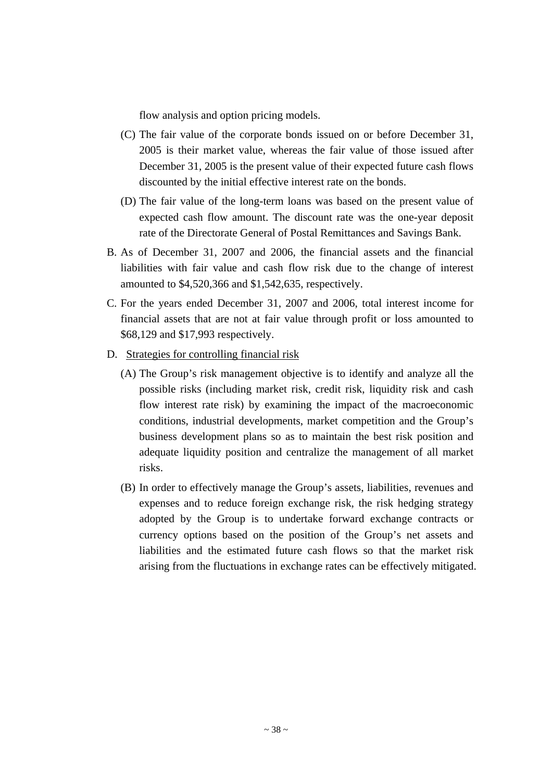flow analysis and option pricing models.

- (C) The fair value of the corporate bonds issued on or before December 31, 2005 is their market value, whereas the fair value of those issued after December 31, 2005 is the present value of their expected future cash flows discounted by the initial effective interest rate on the bonds.
- (D) The fair value of the long-term loans was based on the present value of expected cash flow amount. The discount rate was the one-year deposit rate of the Directorate General of Postal Remittances and Savings Bank.
- B. As of December 31, 2007 and 2006, the financial assets and the financial liabilities with fair value and cash flow risk due to the change of interest amounted to \$4,520,366 and \$1,542,635, respectively.
- C. For the years ended December 31, 2007 and 2006, total interest income for financial assets that are not at fair value through profit or loss amounted to \$68,129 and \$17,993 respectively.
- D. Strategies for controlling financial risk
	- (A) The Group's risk management objective is to identify and analyze all the possible risks (including market risk, credit risk, liquidity risk and cash flow interest rate risk) by examining the impact of the macroeconomic conditions, industrial developments, market competition and the Group's business development plans so as to maintain the best risk position and adequate liquidity position and centralize the management of all market risks.
	- (B) In order to effectively manage the Group's assets, liabilities, revenues and expenses and to reduce foreign exchange risk, the risk hedging strategy adopted by the Group is to undertake forward exchange contracts or currency options based on the position of the Group's net assets and liabilities and the estimated future cash flows so that the market risk arising from the fluctuations in exchange rates can be effectively mitigated.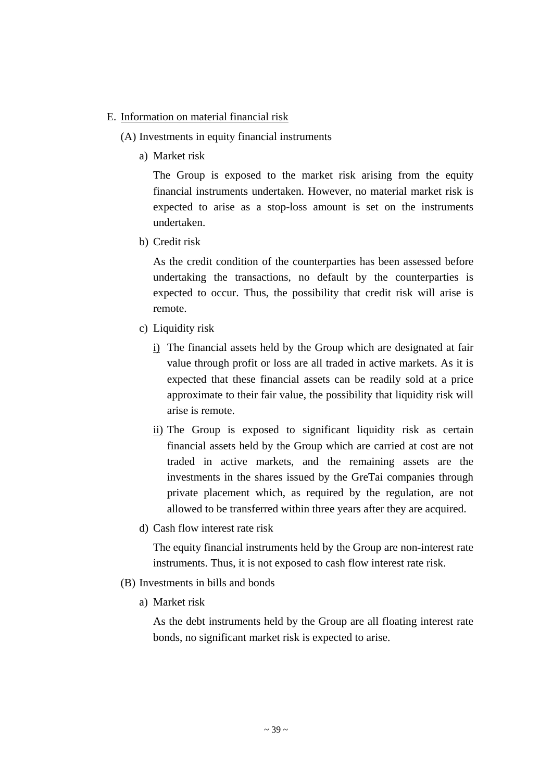### E. Information on material financial risk

(A) Investments in equity financial instruments

a) Market risk

The Group is exposed to the market risk arising from the equity financial instruments undertaken. However, no material market risk is expected to arise as a stop-loss amount is set on the instruments undertaken.

b) Credit risk

As the credit condition of the counterparties has been assessed before undertaking the transactions, no default by the counterparties is expected to occur. Thus, the possibility that credit risk will arise is remote.

- c) Liquidity risk
	- i) The financial assets held by the Group which are designated at fair value through profit or loss are all traded in active markets. As it is expected that these financial assets can be readily sold at a price approximate to their fair value, the possibility that liquidity risk will arise is remote.
	- ii) The Group is exposed to significant liquidity risk as certain financial assets held by the Group which are carried at cost are not traded in active markets, and the remaining assets are the investments in the shares issued by the GreTai companies through private placement which, as required by the regulation, are not allowed to be transferred within three years after they are acquired.
- d) Cash flow interest rate risk

The equity financial instruments held by the Group are non-interest rate instruments. Thus, it is not exposed to cash flow interest rate risk.

- (B) Investments in bills and bonds
	- a) Market risk

As the debt instruments held by the Group are all floating interest rate bonds, no significant market risk is expected to arise.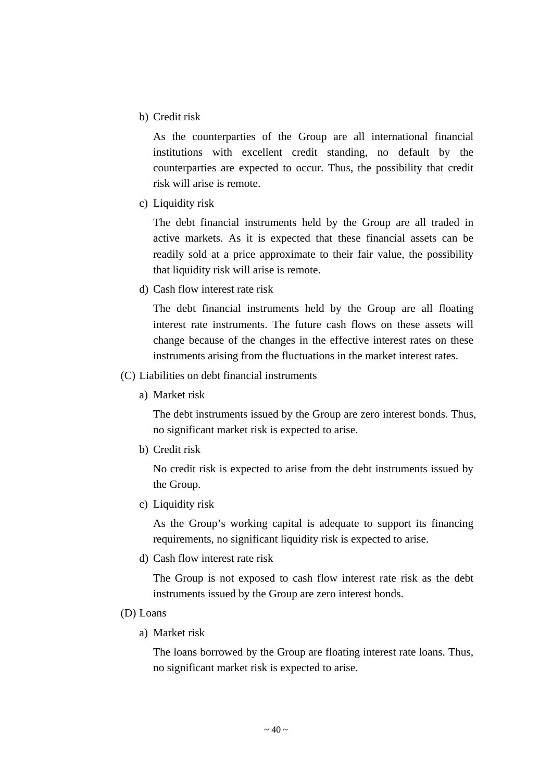b) Credit risk

As the counterparties of the Group are all international financial institutions with excellent credit standing, no default by the counterparties are expected to occur. Thus, the possibility that credit risk will arise is remote.

c) Liquidity risk

The debt financial instruments held by the Group are all traded in active markets. As it is expected that these financial assets can be readily sold at a price approximate to their fair value, the possibility that liquidity risk will arise is remote.

d) Cash flow interest rate risk

The debt financial instruments held by the Group are all floating interest rate instruments. The future cash flows on these assets will change because of the changes in the effective interest rates on these instruments arising from the fluctuations in the market interest rates.

- (C) Liabilities on debt financial instruments
	- a) Market risk

The debt instruments issued by the Group are zero interest bonds. Thus, no significant market risk is expected to arise.

b) Credit risk

No credit risk is expected to arise from the debt instruments issued by the Group.

c) Liquidity risk

As the Group's working capital is adequate to support its financing requirements, no significant liquidity risk is expected to arise.

d) Cash flow interest rate risk

The Group is not exposed to cash flow interest rate risk as the debt instruments issued by the Group are zero interest bonds.

- (D) Loans
	- a) Market risk

The loans borrowed by the Group are floating interest rate loans. Thus, no significant market risk is expected to arise.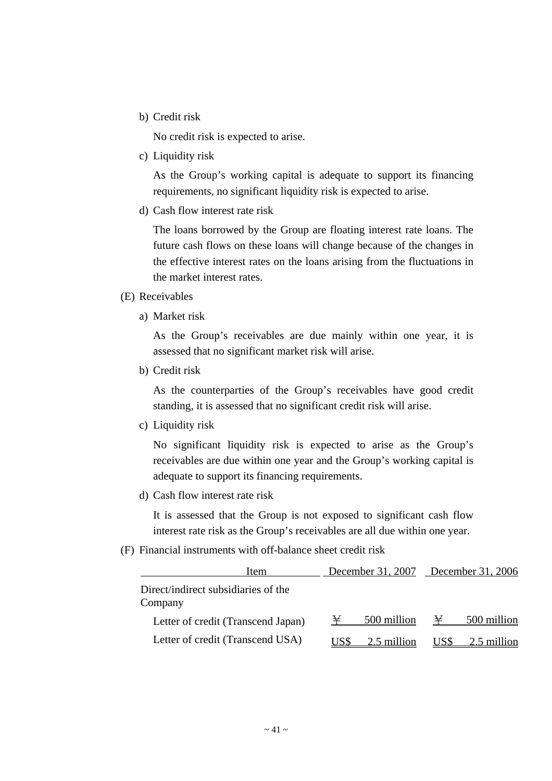b) Credit risk

No credit risk is expected to arise.

c) Liquidity risk

As the Group's working capital is adequate to support its financing requirements, no significant liquidity risk is expected to arise.

d) Cash flow interest rate risk

The loans borrowed by the Group are floating interest rate loans. The future cash flows on these loans will change because of the changes in the effective interest rates on the loans arising from the fluctuations in the market interest rates.

#### (E) Receivables

a) Market risk

As the Group's receivables are due mainly within one year, it is assessed that no significant market risk will arise.

b) Credit risk

As the counterparties of the Group's receivables have good credit standing, it is assessed that no significant credit risk will arise.

c) Liquidity risk

No significant liquidity risk is expected to arise as the Group's receivables are due within one year and the Group's working capital is adequate to support its financing requirements.

d) Cash flow interest rate risk

It is assessed that the Group is not exposed to significant cash flow interest rate risk as the Group's receivables are all due within one year.

(F) Financial instruments with off-balance sheet credit risk

| Item                                           |      | December 31, 2007 | December 31, 2006 |             |  |  |
|------------------------------------------------|------|-------------------|-------------------|-------------|--|--|
| Direct/indirect subsidiaries of the<br>Company |      |                   |                   |             |  |  |
| Letter of credit (Transcend Japan)             | ¥    | 500 million       | ¥                 | 500 million |  |  |
| Letter of credit (Transcend USA)               | US\$ | 2.5 million       | US\$              | 2.5 million |  |  |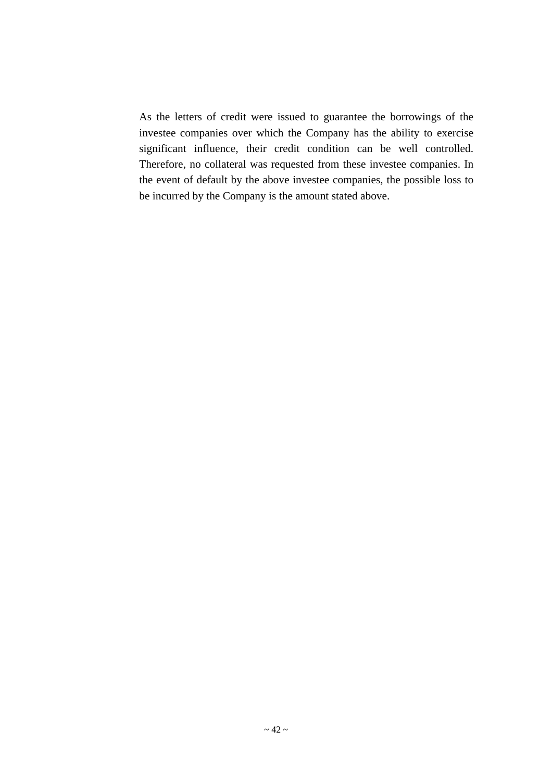As the letters of credit were issued to guarantee the borrowings of the investee companies over which the Company has the ability to exercise significant influence, their credit condition can be well controlled. Therefore, no collateral was requested from these investee companies. In the event of default by the above investee companies, the possible loss to be incurred by the Company is the amount stated above.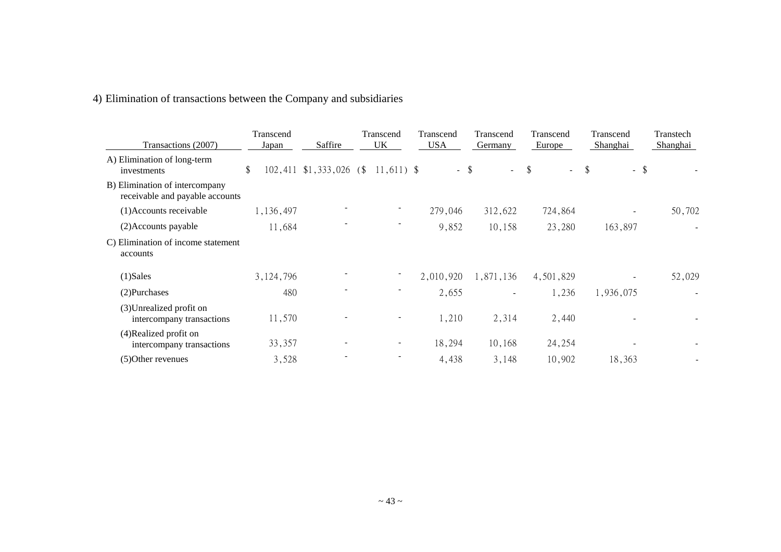# 4) Elimination of transactions between the Company and subsidiaries

| Transactions (2007)                                               | Transcend<br>Japan | Saffire                   | Transcend<br>UK | Transcend<br><b>USA</b> | Transcend<br>Germany     | Transcend<br>Europe                 | Transcend<br>Shanghai | Transtech<br>Shanghai |
|-------------------------------------------------------------------|--------------------|---------------------------|-----------------|-------------------------|--------------------------|-------------------------------------|-----------------------|-----------------------|
| A) Elimination of long-term<br>investments                        | \$                 | $102,411$ \$1,333,026 (\$ | $11,611$ \$     |                         | $-$ \$<br>$\sim$ $^{-1}$ | $\boldsymbol{\mathsf{S}}$<br>$\sim$ | \$<br>$-$ \$          |                       |
| B) Elimination of intercompany<br>receivable and payable accounts |                    |                           |                 |                         |                          |                                     |                       |                       |
| (1)Accounts receivable                                            | 1,136,497          |                           |                 | 279,046                 | 312,622                  | 724,864                             |                       | 50,702                |
| (2) Accounts payable                                              | 11,684             |                           |                 | 9,852                   | 10,158                   | 23,280                              | 163,897               |                       |
| C) Elimination of income statement<br>accounts                    |                    |                           |                 |                         |                          |                                     |                       |                       |
| $(1)$ Sales                                                       | 3, 124, 796        |                           |                 | 2,010,920               | 1,871,136                | 4,501,829                           |                       | 52,029                |
| (2) Purchases                                                     | 480                |                           |                 | 2,655                   |                          | 1,236                               | 1,936,075             |                       |
| (3) Unrealized profit on<br>intercompany transactions             | 11,570             |                           |                 | 1,210                   | 2,314                    | 2,440                               |                       |                       |
| (4) Realized profit on<br>intercompany transactions               | 33,357             |                           |                 | 18,294                  | 10,168                   | 24,254                              |                       |                       |
| (5) Other revenues                                                | 3,528              |                           |                 | 4,438                   | 3,148                    | 10,902                              | 18,363                |                       |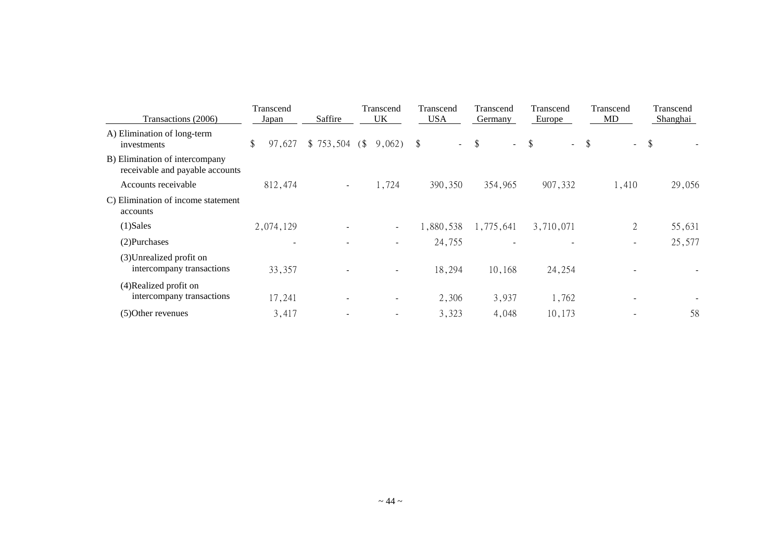| Transactions (2006)                                               | Transcend<br>Saffire<br>Japan |                          | Transcend<br>UK              | Transcend<br><b>USA</b> | Transcend<br><b>Germany</b> | Transcend<br>Europe | Transcend<br>MD                      | Transcend<br><b>Shanghai</b> |  |
|-------------------------------------------------------------------|-------------------------------|--------------------------|------------------------------|-------------------------|-----------------------------|---------------------|--------------------------------------|------------------------------|--|
| A) Elimination of long-term<br>investments                        | \$<br>97,627                  | $$753,504$ (\$)          | 9,062)                       | $\mathcal{S}$<br>$\sim$ | $\frac{1}{2}$<br>$\sim$ .   | $\$\$<br>$\sim$     | $\boldsymbol{\mathsf{\$}}$<br>$\sim$ | \$                           |  |
| B) Elimination of intercompany<br>receivable and payable accounts |                               |                          |                              |                         |                             |                     |                                      |                              |  |
| Accounts receivable                                               | 812,474                       | $\sim$                   | 1,724                        | 390,350                 | 354,965                     | 907,332             | 1,410                                | 29,056                       |  |
| C) Elimination of income statement<br>accounts                    |                               |                          |                              |                         |                             |                     |                                      |                              |  |
| $(1)$ Sales                                                       | 2,074,129                     |                          | $\blacksquare$               | 1,880,538               | 1,775,641                   | 3,710,071           | $\overline{2}$                       | 55,631                       |  |
| (2) Purchases                                                     | $\overline{\phantom{a}}$      |                          |                              | 24,755                  |                             |                     | $\overline{\phantom{a}}$             | 25,577                       |  |
| (3) Unrealized profit on<br>intercompany transactions             | 33,357                        |                          | $\overline{\phantom{a}}$     | 18,294                  | 10,168                      | 24,254              |                                      |                              |  |
| (4)Realized profit on<br>intercompany transactions                | 17,241                        | $\overline{\phantom{a}}$ | $\overline{\phantom{a}}$     | 2,306                   | 3,937                       | 1,762               |                                      |                              |  |
| (5) Other revenues                                                | 3,417                         |                          | $\qquad \qquad \blacksquare$ | 3,323                   | 4,048                       | 10,173              |                                      | 58                           |  |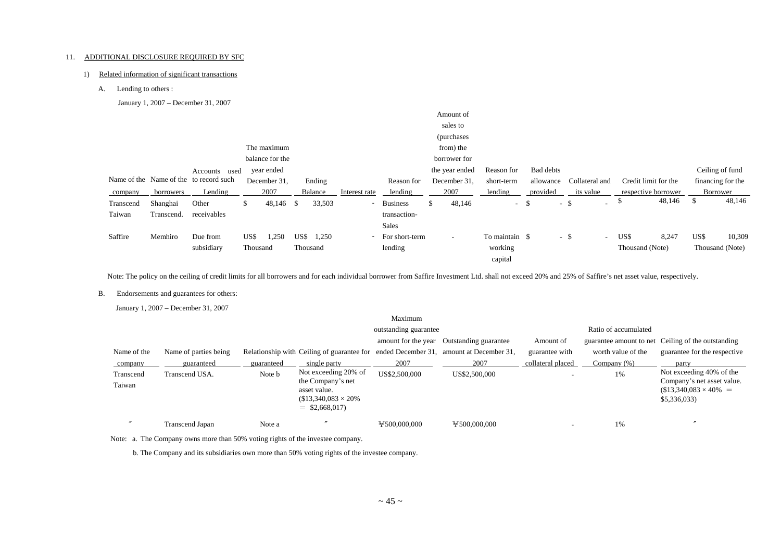#### 11. ADDITIONAL DISCLOSURE REQUIRED BY SFC

#### 1) Related information of significant transactions

A. Lending to others :

January 1, 2007 – December 31, 2007

|            |               |                                        |       |                                        |                                               |                               |                 |    | sales to                 |                                                                                         |                          |                                           |                |                |                                                 |                               |                                                                             |
|------------|---------------|----------------------------------------|-------|----------------------------------------|-----------------------------------------------|-------------------------------|-----------------|----|--------------------------|-----------------------------------------------------------------------------------------|--------------------------|-------------------------------------------|----------------|----------------|-------------------------------------------------|-------------------------------|-----------------------------------------------------------------------------|
|            |               |                                        |       |                                        |                                               |                               |                 |    |                          |                                                                                         |                          |                                           |                |                |                                                 |                               |                                                                             |
|            |               |                                        |       |                                        |                                               |                               |                 |    |                          |                                                                                         |                          |                                           |                |                |                                                 |                               |                                                                             |
|            |               |                                        |       |                                        |                                               |                               |                 |    |                          |                                                                                         |                          |                                           |                |                |                                                 |                               |                                                                             |
|            | Accounts used |                                        |       |                                        |                                               |                               |                 |    |                          | Reason for                                                                              |                          |                                           |                |                |                                                 |                               |                                                                             |
|            |               |                                        |       |                                        |                                               |                               | Reason for      |    |                          | short-term                                                                              |                          |                                           |                |                |                                                 |                               |                                                                             |
| borrowers  | Lending       |                                        | 2007  |                                        |                                               | Interest rate                 | lending         |    | 2007                     | lending                                                                                 |                          | its value                                 |                |                |                                                 |                               |                                                                             |
| Shanghai   | Other         | \$.                                    |       |                                        | 33,503                                        | ۰.                            | <b>Business</b> | .S | 48,146                   |                                                                                         |                          | $\sim$                                    | Φ              |                | -S                                              |                               | 48,146                                                                      |
| Transcend. | receivables   |                                        |       |                                        |                                               |                               | transaction-    |    |                          |                                                                                         |                          |                                           |                |                |                                                 |                               |                                                                             |
|            |               |                                        |       |                                        |                                               |                               | <b>Sales</b>    |    |                          |                                                                                         |                          |                                           |                |                |                                                 |                               |                                                                             |
| Memhiro    | Due from      |                                        | 1,250 | US\$                                   | 1,250                                         |                               |                 |    | $\overline{\phantom{a}}$ |                                                                                         |                          | $\sim$                                    |                | 8,247          |                                                 |                               | 10,309                                                                      |
|            | subsidiary    |                                        |       |                                        |                                               |                               | lending         |    |                          | working                                                                                 |                          |                                           |                |                |                                                 |                               |                                                                             |
|            |               |                                        |       |                                        |                                               |                               |                 |    |                          | capital                                                                                 |                          |                                           |                |                |                                                 |                               |                                                                             |
|            |               | Name of the Name of the to record such | US\$  | year ended<br>December 31.<br>Thousand | The maximum<br>balance for the<br>$48,146$ \$ | Ending<br>Balance<br>Thousand |                 |    | - For short-term         | Amount of<br>(purchases)<br>from) the<br>borrower for<br>the year ended<br>December 31, | $-$ \$<br>To maintain \$ | <b>Bad debts</b><br>allowance<br>provided | $-$ \$<br>- \$ | Collateral and | Credit limit for the<br>US\$<br>Thousand (Note) | respective borrower<br>48,146 | Ceiling of fund<br>financing for the<br>Borrower<br>US\$<br>Thousand (Note) |

Note: The policy on the ceiling of credit limits for all borrowers and for each individual borrower from Saffire Investment Ltd. shall not exceed 20% and 25% of Saffire's net asset value, respectively.

#### B. Endorsements and guarantees for others:

January 1, 2007 – December 31, 2007

|                     |                       |            |                                                                                                            | Maximum               |                        |                   |                         |                                                                                                      |  |  |
|---------------------|-----------------------|------------|------------------------------------------------------------------------------------------------------------|-----------------------|------------------------|-------------------|-------------------------|------------------------------------------------------------------------------------------------------|--|--|
|                     |                       |            |                                                                                                            | outstanding guarantee |                        |                   | Ratio of accumulated    |                                                                                                      |  |  |
|                     |                       |            |                                                                                                            | amount for the year   | Outstanding guarantee  | Amount of         | guarantee amount to net | Ceiling of the outstanding                                                                           |  |  |
| Name of the         | Name of parties being |            | Relationship with Ceiling of guarantee for ended December 31,                                              |                       | amount at December 31, | guarantee with    | worth value of the      | guarantee for the respective                                                                         |  |  |
| company             | guaranteed            | guaranteed | single party                                                                                               | 2007                  | 2007                   | collateral placed | Company $(\%)$          | party                                                                                                |  |  |
| Transcend<br>Taiwan | Transcend USA.        | Note b     | Not exceeding 20% of<br>the Company's net<br>asset value.<br>$$13,340,083 \times 20\%$<br>$=$ \$2,668,017) | US\$2,500,000         | US\$2,500,000          | -                 | 1%                      | Not exceeding 40% of the<br>Company's net asset value.<br>$$13,340,083 \times 40\% =$<br>\$5,336,033 |  |  |
|                     | Transcend Japan       | Note a     |                                                                                                            | 4500,000,000          | 4500,000,000           | -                 | 1%                      |                                                                                                      |  |  |

Note: a. The Company owns more than 50% voting rights of the investee company.

b. The Company and its subsidiaries own more than 50% voting rights of the investee company.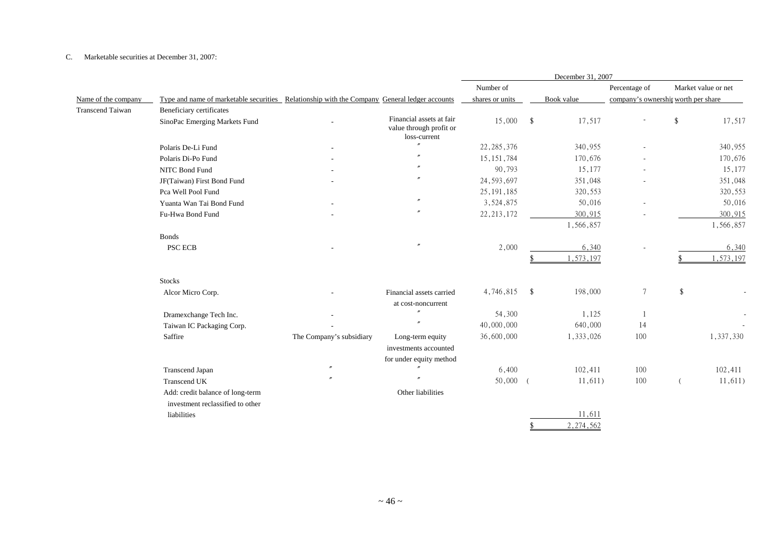#### C. Marketable securities at December 31, 2007:

|                         |                                                                                              |                          |                                                                     |                 |            | December 31, 2007 |                                     |               |                     |
|-------------------------|----------------------------------------------------------------------------------------------|--------------------------|---------------------------------------------------------------------|-----------------|------------|-------------------|-------------------------------------|---------------|---------------------|
|                         |                                                                                              |                          |                                                                     | Number of       |            |                   | Percentage of                       |               | Market value or net |
| Name of the company     | Type and name of marketable securities Relationship with the Company General ledger accounts |                          |                                                                     | shares or units |            | Book value        | company's ownership worth per share |               |                     |
| <b>Transcend Taiwan</b> | Beneficiary certificates                                                                     |                          |                                                                     |                 |            |                   |                                     |               |                     |
|                         | SinoPac Emerging Markets Fund                                                                |                          | Financial assets at fair<br>value through profit or<br>loss-current | 15,000          | $^{\circ}$ | 17,517            |                                     | $\mathcal{S}$ | 17,517              |
|                         | Polaris De-Li Fund                                                                           |                          | $\overline{v}$                                                      | 22, 285, 376    |            | 340,955           |                                     |               | 340,955             |
|                         | Polaris Di-Po Fund                                                                           |                          |                                                                     | 15, 151, 784    |            | 170,676           |                                     |               | 170,676             |
|                         | NITC Bond Fund                                                                               |                          | $\overline{''}$                                                     | 90,793          |            | 15,177            |                                     |               | 15,177              |
|                         | JF(Taiwan) First Bond Fund                                                                   |                          |                                                                     | 24, 593, 697    |            | 351,048           |                                     |               | 351,048             |
|                         | Pca Well Pool Fund                                                                           |                          |                                                                     | 25, 191, 185    |            | 320,553           |                                     |               | 320,553             |
|                         | Yuanta Wan Tai Bond Fund                                                                     |                          | $^{\prime\prime}$                                                   | 3,524,875       |            | 50,016            |                                     |               | 50,016              |
|                         | Fu-Hwa Bond Fund                                                                             |                          | $\overline{ }$                                                      | 22, 213, 172    |            | 300,915           |                                     |               | 300,915             |
|                         |                                                                                              |                          |                                                                     |                 |            | 1,566,857         |                                     |               | 1,566,857           |
|                         | <b>Bonds</b>                                                                                 |                          |                                                                     |                 |            |                   |                                     |               |                     |
|                         | PSC ECB                                                                                      |                          |                                                                     | 2,000           |            | 6,340             |                                     |               | 6,340               |
|                         |                                                                                              |                          |                                                                     |                 |            | 1,573,197         |                                     |               | .573,197            |
|                         | <b>Stocks</b>                                                                                |                          |                                                                     |                 |            |                   |                                     |               |                     |
|                         | Alcor Micro Corp.                                                                            |                          | Financial assets carried                                            | 4,746,815       | -\$        | 198,000           | $\overline{7}$                      | \$            |                     |
|                         |                                                                                              |                          | at cost-noncurrent                                                  |                 |            |                   |                                     |               |                     |
|                         | Dramexchange Tech Inc.                                                                       |                          | $^{\prime\prime}$                                                   | 54,300          |            | 1,125             | $\overline{1}$                      |               |                     |
|                         | Taiwan IC Packaging Corp.                                                                    |                          | $\overline{v}$                                                      | 40,000,000      |            | 640,000           | 14                                  |               |                     |
|                         | Saffire                                                                                      | The Company's subsidiary | Long-term equity                                                    | 36,600,000      |            | 1,333,026         | 100                                 |               | 1,337,330           |
|                         |                                                                                              |                          | investments accounted                                               |                 |            |                   |                                     |               |                     |
|                         |                                                                                              |                          | for under equity method                                             |                 |            |                   |                                     |               |                     |
|                         | Transcend Japan                                                                              | $^{\prime\prime}$        |                                                                     | 6,400           |            | 102,411           | 100                                 |               | 102,411             |
|                         | Transcend UK                                                                                 |                          |                                                                     | 50,000          | $\sqrt{ }$ | 11,611)           | 100                                 |               | 11,611)             |
|                         | Add: credit balance of long-term<br>investment reclassified to other                         |                          | Other liabilities                                                   |                 |            |                   |                                     |               |                     |
|                         | liabilities                                                                                  |                          |                                                                     |                 |            | 11,611            |                                     |               |                     |
|                         |                                                                                              |                          |                                                                     |                 |            | 2,274,562         |                                     |               |                     |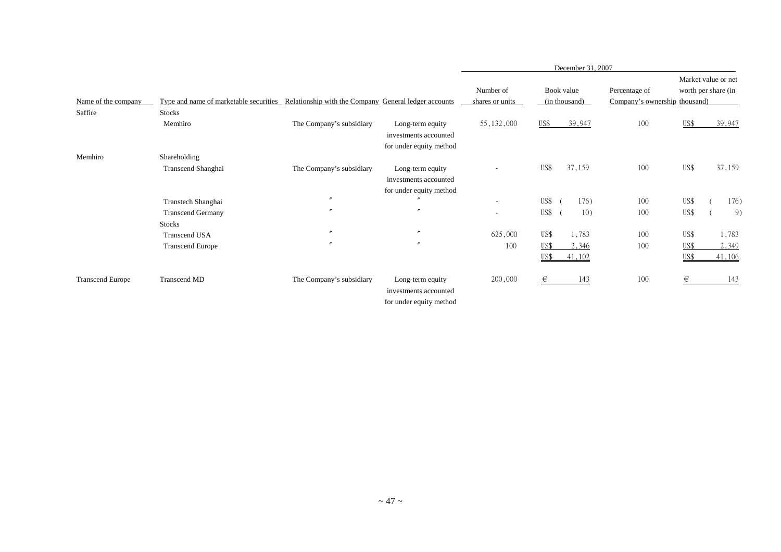|                         |                                                                                              |                          |                                                                      |                              | December 31, 2007               |                                                |                                            |                 |
|-------------------------|----------------------------------------------------------------------------------------------|--------------------------|----------------------------------------------------------------------|------------------------------|---------------------------------|------------------------------------------------|--------------------------------------------|-----------------|
| Name of the company     | Type and name of marketable securities Relationship with the Company General ledger accounts |                          |                                                                      | Number of<br>shares or units | Book value<br>(in thousand)     | Percentage of<br>Company's ownership thousand) | Market value or net<br>worth per share (in |                 |
| Saffire                 | <b>Stocks</b>                                                                                |                          |                                                                      |                              |                                 |                                                |                                            |                 |
|                         | Memhiro                                                                                      | The Company's subsidiary | Long-term equity<br>investments accounted<br>for under equity method | 55, 132, 000                 | 39,947<br>US\$                  | 100                                            | US\$                                       | 39,947          |
| Memhiro                 | Shareholding                                                                                 |                          |                                                                      |                              |                                 |                                                |                                            |                 |
|                         | Transcend Shanghai                                                                           | The Company's subsidiary | Long-term equity<br>investments accounted<br>for under equity method |                              | US\$<br>37,159                  | 100                                            | US\$                                       | 37,159          |
|                         | Transtech Shanghai                                                                           | $^{\prime\prime}$        |                                                                      | $\sim$                       | US\$<br>176)                    | 100                                            | US\$                                       | 176)            |
|                         | <b>Transcend Germany</b><br><b>Stocks</b>                                                    | $\prime$                 | $\boldsymbol{''}$                                                    | $\sim$                       | US\$<br>10)                     | 100                                            | US\$                                       | 9)              |
|                         | <b>Transcend USA</b>                                                                         | $^{\prime\prime}$        | $\prime\prime$                                                       | 625,000                      | US\$<br>1,783                   | 100                                            | US\$                                       | 1,783           |
|                         | <b>Transcend Europe</b>                                                                      | $\prime$                 | $^{\prime\prime}$                                                    | 100                          | US\$<br>2,346<br>US\$<br>41,102 | 100                                            | US\$<br>US\$                               | 2,349<br>41,106 |
| <b>Transcend Europe</b> | Transcend MD                                                                                 | The Company's subsidiary | Long-term equity<br>investments accounted<br>for under equity method | 200,000                      | 143<br>€                        | 100                                            | €                                          | 143             |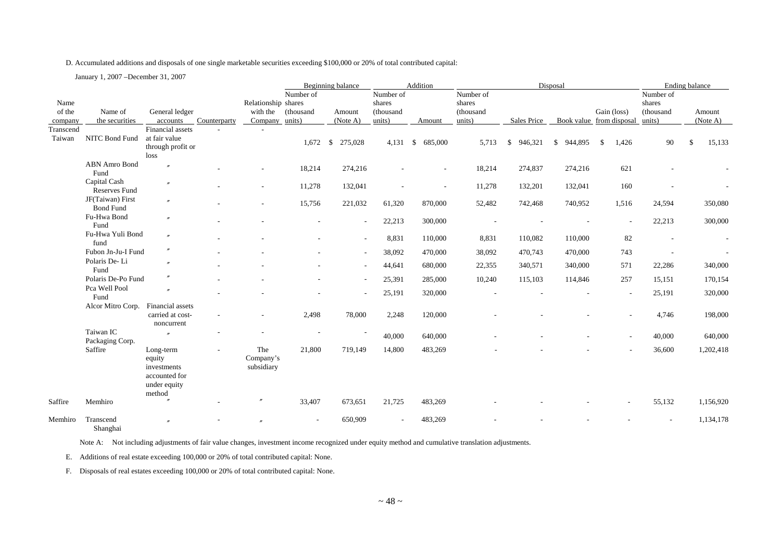#### D. Accumulated additions and disposals of one single marketable securities exceeding \$100,000 or 20% of total contributed capital:

January 1, 2007 –December 31, 2007

|           |                                      |                                                                               |              |                                |                          | Beginning balance |            | Addition                 |           |                         | Disposal                 |      |             | Ending balance           |              |                          |
|-----------|--------------------------------------|-------------------------------------------------------------------------------|--------------|--------------------------------|--------------------------|-------------------|------------|--------------------------|-----------|-------------------------|--------------------------|------|-------------|--------------------------|--------------|--------------------------|
|           |                                      |                                                                               |              |                                | Number of                |                   | Number of  |                          | Number of |                         |                          |      |             | Number of                |              |                          |
| Name      |                                      |                                                                               |              | Relationship shares            |                          |                   | shares     |                          | shares    |                         |                          |      |             | shares                   |              |                          |
| of the    | Name of                              | General ledger                                                                |              | with the                       | (thousand                | Amount            | (thousand  |                          | (thousand |                         |                          |      | Gain (loss) | (thousand                |              | Amount                   |
| company   | the securities                       | accounts                                                                      | Counterparty | Company units)                 |                          | (Note A)          | units)     | Amount                   | units)    | Sales Price             | Book value from disposal |      |             | units)                   |              | (Note A)                 |
| Transcend |                                      | Financial assets                                                              |              |                                |                          |                   |            |                          |           |                         |                          |      |             |                          |              |                          |
| Taiwan    | NITC Bond Fund                       | at fair value<br>through profit or<br>loss                                    |              |                                | 1,672                    | \$<br>275,028     | $4,131$ \$ | 685,000                  | 5,713     | 946,321<br>$\mathbb{S}$ | \$944,895                | - \$ | 1,426       | 90                       | $\mathbb{S}$ | 15,133                   |
|           | <b>ABN</b> Amro Bond<br>Fund         | $\overline{r}$                                                                |              |                                | 18,214                   | 274,216           |            |                          | 18,214    | 274,837                 | 274,216                  |      | 621         |                          |              |                          |
|           | Capital Cash<br><b>Reserves Fund</b> | $^{\prime\prime}$                                                             |              |                                | 11,278                   | 132,041           |            | $\overline{\phantom{a}}$ | 11,278    | 132,201                 | 132,041                  |      | 160         |                          |              |                          |
|           | JF(Taiwan) First<br><b>Bond Fund</b> | $^{\prime\prime}$                                                             |              |                                | 15,756                   | 221,032           | 61,320     | 870,000                  | 52,482    | 742,468                 | 740,952                  |      | 1,516       | 24,594                   |              | 350,080                  |
|           | Fu-Hwa Bond<br>Fund                  | $^{\prime\prime}$                                                             |              |                                |                          | $\sim$            | 22,213     | 300,000                  |           |                         |                          |      |             | 22,213                   |              | 300,000                  |
|           | Fu-Hwa Yuli Bond<br>fund             | $^{\prime\prime}$                                                             |              |                                |                          |                   | 8,831      | 110,000                  | 8,831     | 110,082                 | 110,000                  |      | 82          |                          |              |                          |
|           | Fubon Jn-Ju-I Fund                   | $^{\prime\prime}$                                                             |              |                                |                          | $\sim$            | 38,092     | 470,000                  | 38,092    | 470,743                 | 470,000                  |      | 743         | $\overline{\phantom{a}}$ |              | $\overline{\phantom{a}}$ |
|           | Polaris De-Li<br>Fund                | $\theta$                                                                      |              |                                |                          |                   | 44,641     | 680,000                  | 22,355    | 340,571                 | 340,000                  |      | 571         | 22,286                   |              | 340,000                  |
|           | Polaris De-Po Fund                   |                                                                               |              |                                |                          | $\sim$            | 25,391     | 285,000                  | 10,240    | 115,103                 | 114,846                  |      | 257         | 15,151                   |              | 170,154                  |
|           | Pca Well Pool<br>Fund                | $\theta$                                                                      |              |                                |                          | $\sim$            | 25,191     | 320,000                  |           |                         |                          |      | $\sim$      | 25,191                   |              | 320,000                  |
|           | Alcor Mitro Corp.                    | Financial assets<br>carried at cost-<br>noncurrent                            |              |                                | 2,498                    | 78,000            | 2,248      | 120,000                  |           |                         |                          |      |             | 4,746                    |              | 198,000                  |
|           | Taiwan IC<br>Packaging Corp.         | $\overline{v}$                                                                |              |                                | $\overline{\phantom{a}}$ |                   | 40,000     | 640,000                  |           |                         |                          |      |             | 40,000                   |              | 640,000                  |
|           | Saffire                              | Long-term<br>equity<br>investments<br>accounted for<br>under equity<br>method |              | The<br>Company's<br>subsidiary | 21,800                   | 719,149           | 14,800     | 483,269                  |           |                         |                          |      |             | 36,600                   |              | 1,202,418                |
| Saffire   | Memhiro                              |                                                                               |              |                                | 33,407                   | 673,651           | 21,725     | 483,269                  |           |                         |                          |      |             | 55,132                   |              | 1,156,920                |
| Memhiro   | Transcend<br>$\sim$<br>$\mathbf{H}$  | $\overline{r}$                                                                |              |                                |                          | 650,909           |            | 483,269                  |           |                         |                          |      |             |                          |              | 1,134,178                |

Shanghai

Note A: Not including adjustments of fair value changes, investment income recognized under equity method and cumulative translation adjustments.

E. Additions of real estate exceeding 100,000 or 20% of total contributed capital: None.

F. Disposals of real estates exceeding 100,000 or 20% of total contributed capital: None.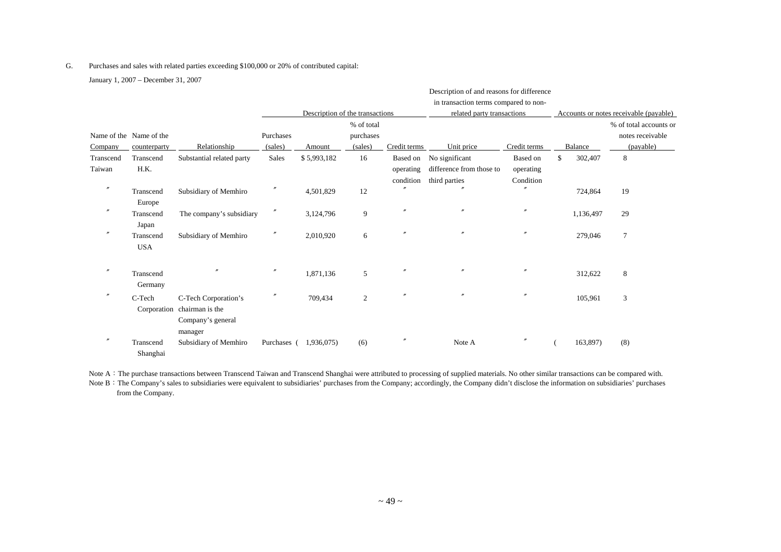#### G. Purchases and sales with related parties exceeding \$100,000 or 20% of contributed capital:

January 1, 2007 – December 31, 2007

|                                    |                         |                                                                                     |                      | Description of the transactions |                                    |                                    | Description of and reasons for difference<br>in transaction terms compared to non-<br>related party transactions |                                    |               | Accounts or notes receivable (payable)                  |
|------------------------------------|-------------------------|-------------------------------------------------------------------------------------|----------------------|---------------------------------|------------------------------------|------------------------------------|------------------------------------------------------------------------------------------------------------------|------------------------------------|---------------|---------------------------------------------------------|
| Name of the Name of the<br>Company | counterparty            | Relationship                                                                        | Purchases<br>(sales) | Amount                          | % of total<br>purchases<br>(sales) | Credit terms                       | Unit price                                                                                                       | Credit terms                       | Balance       | % of total accounts or<br>notes receivable<br>(payable) |
| Transcend<br>Taiwan                | Transcend<br>H.K.       | Substantial related party                                                           | Sales                | \$5,993,182                     | 16                                 | Based on<br>operating<br>condition | No significant<br>difference from those to<br>third parties                                                      | Based on<br>operating<br>Condition | \$<br>302,407 | $\,8\,$                                                 |
| $^{\prime\prime}$                  | Transcend<br>Europe     | Subsidiary of Memhiro                                                               |                      | 4,501,829                       | 12                                 | $\overline{u}$                     |                                                                                                                  | $\theta$                           | 724,864       | 19                                                      |
| $^{\prime\prime}$                  | Transcend<br>Japan      | The company's subsidiary                                                            | $\prime\prime$       | 3,124,796                       | 9                                  |                                    |                                                                                                                  | $^{\prime\prime}$                  | 1,136,497     | 29                                                      |
|                                    | Transcend<br><b>USA</b> | Subsidiary of Memhiro                                                               | $^{\prime\prime}$    | 2,010,920                       | 6                                  |                                    | $\theta$                                                                                                         | $^{\prime\prime}$                  | 279,046       | $\overline{7}$                                          |
| $^{\prime\prime}$                  | Transcend<br>Germany    |                                                                                     |                      | 1,871,136                       | 5                                  |                                    | $\theta$                                                                                                         |                                    | 312,622       | 8                                                       |
| $\prime\prime$                     | C-Tech                  | C-Tech Corporation's<br>Corporation chairman is the<br>Company's general<br>manager | $\prime\prime$       | 709,434                         | 2                                  |                                    | $\theta$                                                                                                         | $^{\prime\prime}$                  | 105,961       | 3                                                       |
| $^{\prime\prime}$                  | Transcend<br>Shanghai   | Subsidiary of Memhiro                                                               | Purchases (          | 1,936,075)                      | (6)                                |                                    | Note A                                                                                                           |                                    | 163,897)      | (8)                                                     |

Note A: The purchase transactions between Transcend Taiwan and Transcend Shanghai were attributed to processing of supplied materials. No other similar transactions can be compared with.

Note B: The Company's sales to subsidiaries were equivalent to subsidiaries' purchases from the Company; accordingly, the Company didn't disclose the information on subsidiaries' purchases from the Company.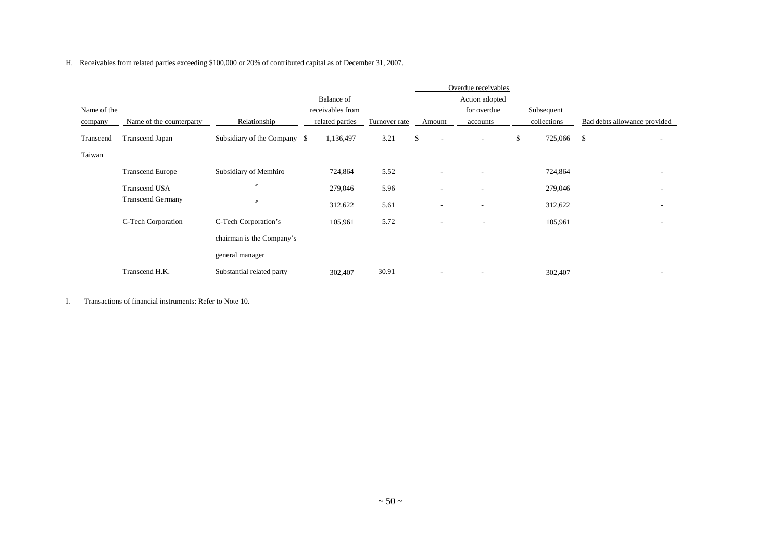H. Receivables from related parties exceeding \$100,000 or 20% of contributed capital as of December 31, 2007.

|             |                          |                              |                  |               |                                | Overdue receivables      |                  |                              |                          |
|-------------|--------------------------|------------------------------|------------------|---------------|--------------------------------|--------------------------|------------------|------------------------------|--------------------------|
|             |                          |                              | Balance of       |               |                                | Action adopted           |                  |                              |                          |
| Name of the |                          |                              | receivables from |               |                                | for overdue              | Subsequent       |                              |                          |
| company     | Name of the counterparty | Relationship                 | related parties  | Turnover rate | Amount                         | accounts                 | collections      | Bad debts allowance provided |                          |
| Transcend   | <b>Transcend Japan</b>   | Subsidiary of the Company \$ | 1,136,497        | 3.21          | \$<br>$\overline{\phantom{a}}$ | $\overline{\phantom{a}}$ | \$<br>725,066 \$ |                              | $\overline{\phantom{a}}$ |
| Taiwan      |                          |                              |                  |               |                                |                          |                  |                              |                          |
|             | <b>Transcend Europe</b>  | Subsidiary of Memhiro        | 724,864          | 5.52          | $\overline{\phantom{a}}$       | $\overline{\phantom{a}}$ | 724,864          |                              |                          |
|             | <b>Transcend USA</b>     | $\prime$                     | 279,046          | 5.96          | $\overline{\phantom{a}}$       | ٠                        | 279,046          |                              | ٠                        |
|             | <b>Transcend Germany</b> | $\overline{v}$               | 312,622          | 5.61          |                                | ٠                        | 312,622          |                              |                          |
|             | C-Tech Corporation       | C-Tech Corporation's         | 105,961          | 5.72          | $\overline{\phantom{a}}$       | $\overline{\phantom{a}}$ | 105,961          |                              | ٠                        |
|             |                          | chairman is the Company's    |                  |               |                                |                          |                  |                              |                          |
|             |                          | general manager              |                  |               |                                |                          |                  |                              |                          |
|             | Transcend H.K.           | Substantial related party    | 302,407          | 30.91         | $\overline{\phantom{a}}$       |                          | 302,407          |                              |                          |

I. Transactions of financial instruments: Refer to Note 10.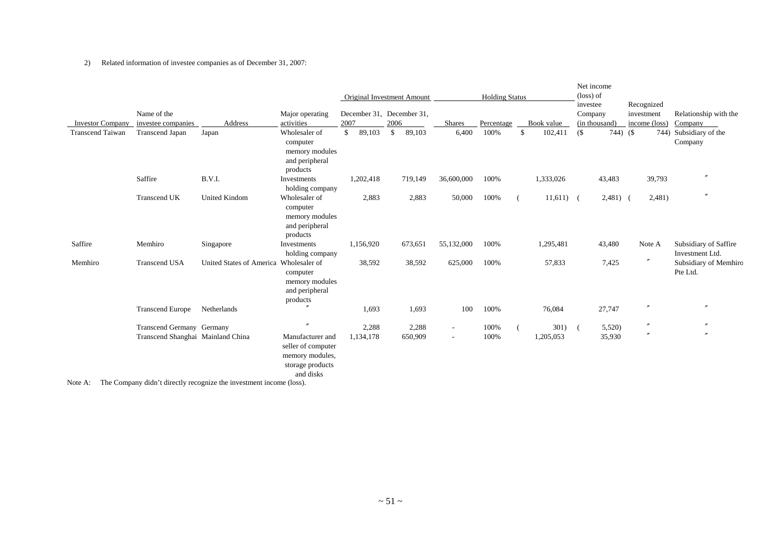#### 2) Related information of investee companies as of December 31, 2007:

| <b>Investor Company</b> | Name of the                           | Address                  | Major operating<br>activities                                                              | 2007         | Original Investment Amount<br>December 31, December 31,<br>2006 | <b>Shares</b> | <b>Holding Status</b> | Book value    |        | Net income<br>$(\text{loss})$ of<br>investee<br>Company<br>(in thousand) | Recognized<br>investment<br>income (loss) | Relationship with the                    |
|-------------------------|---------------------------------------|--------------------------|--------------------------------------------------------------------------------------------|--------------|-----------------------------------------------------------------|---------------|-----------------------|---------------|--------|--------------------------------------------------------------------------|-------------------------------------------|------------------------------------------|
| <b>Transcend Taiwan</b> | investee companies<br>Transcend Japan | Japan                    | Wholesaler of                                                                              | \$<br>89,103 | 89,103<br>$\mathbb{S}$                                          | 6,400         | Percentage<br>100%    | \$<br>102,411 | $($ \$ | $744)$ (\$                                                               |                                           | Company<br>744) Subsidiary of the        |
|                         |                                       |                          | computer<br>memory modules<br>and peripheral<br>products                                   |              |                                                                 |               |                       |               |        |                                                                          |                                           | Company                                  |
|                         | Saffire                               | B.V.I.                   | Investments<br>holding company                                                             | 1,202,418    | 719,149                                                         | 36,600,000    | 100%                  | 1,333,026     |        | 43,483                                                                   | 39,793                                    | $^{\prime\prime}$                        |
|                         | <b>Transcend UK</b>                   | <b>United Kindom</b>     | Wholesaler of<br>computer<br>memory modules<br>and peripheral<br>products                  | 2,883        | 2,883                                                           | 50,000        | 100%                  | $11,611$ (    |        | $2,481$ (                                                                | 2,481)                                    | $^{\prime\prime}$                        |
| Saffire                 | Memhiro                               | Singapore                | Investments<br>holding company                                                             | 1,156,920    | 673,651                                                         | 55,132,000    | 100%                  | 1,295,481     |        | 43,480                                                                   | Note A                                    | Subsidiary of Saffire<br>Investment Ltd. |
| Memhiro                 | <b>Transcend USA</b>                  | United States of America | Wholesaler of<br>computer<br>memory modules<br>and peripheral<br>products                  | 38,592       | 38,592                                                          | 625,000       | 100%                  | 57,833        |        | 7,425                                                                    | $^{\prime\prime}$                         | Subsidiary of Memhiro<br>Pte Ltd.        |
|                         | <b>Transcend Europe</b>               | Netherlands              |                                                                                            | 1,693        | 1,693                                                           | 100           | 100%                  | 76,084        |        | 27,747                                                                   |                                           | $\overline{r}$                           |
|                         | Transcend Germany Germany             |                          | $\overline{''}$                                                                            | 2,288        | 2,288                                                           | $\sim$        | 100%                  | 301)          |        | 5,520)                                                                   | $\prime\prime$                            |                                          |
|                         | Transcend Shanghai Mainland China     |                          | Manufacturer and<br>seller of computer<br>memory modules,<br>storage products<br>and disks | 1,134,178    | 650,909                                                         | $\sim$        | 100%                  | 1,205,053     |        | 35,930                                                                   |                                           | $\prime$                                 |

Note A: The Company didn't directly recognize the investment income (loss).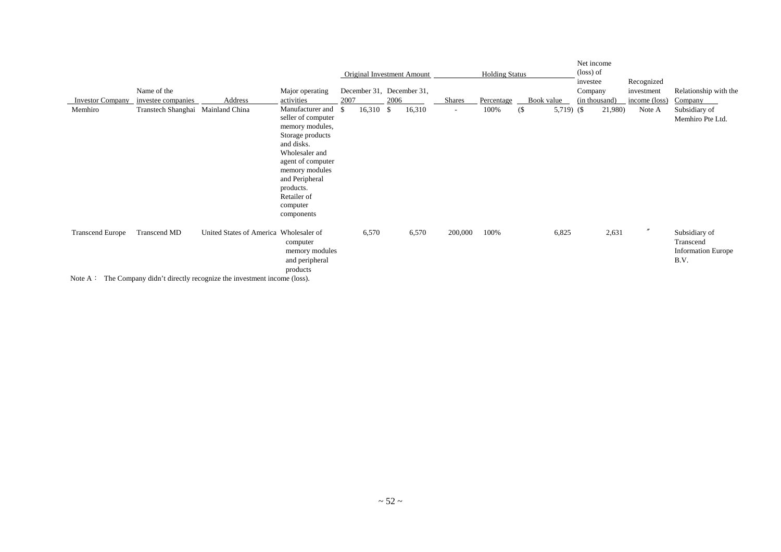|                         | Name of the                       |                                                                                                                              | Major operating                                                                                                                                                                                                                 |      | Original Investment Amount<br>December 31, December 31, |      |        |               | <b>Holding Status</b> |            |              | Net income<br>(loss) of<br>investee<br>Company |         | Recognized<br>investment | Relationship with the                                           |
|-------------------------|-----------------------------------|------------------------------------------------------------------------------------------------------------------------------|---------------------------------------------------------------------------------------------------------------------------------------------------------------------------------------------------------------------------------|------|---------------------------------------------------------|------|--------|---------------|-----------------------|------------|--------------|------------------------------------------------|---------|--------------------------|-----------------------------------------------------------------|
| <b>Investor Company</b> | investee companies                | Address                                                                                                                      | activities                                                                                                                                                                                                                      | 2007 |                                                         | 2006 |        | <b>Shares</b> | Percentage            | Book value |              | (in thousand)                                  |         | income (loss)            | Company                                                         |
| Memhiro                 | Transtech Shanghai Mainland China |                                                                                                                              | Manufacturer and \$<br>seller of computer<br>memory modules,<br>Storage products<br>and disks.<br>Wholesaler and<br>agent of computer<br>memory modules<br>and Peripheral<br>products.<br>Retailer of<br>computer<br>components |      | $16,310$ \$                                             |      | 16,310 | $\sim$        | 100%                  | $($ \$     | 5,719) $(\$$ |                                                | 21,980) | Note A                   | Subsidiary of<br>Memhiro Pte Ltd.                               |
| <b>Transcend Europe</b> | Transcend MD                      | United States of America Wholesaler of<br>Note $\Lambda$ . The Company didn't dimeter measuring the investment income (loss) | computer<br>memory modules<br>and peripheral<br>products                                                                                                                                                                        |      | 6,570                                                   |      | 6,570  | 200,000       | 100%                  |            | 6,825        |                                                | 2,631   | $^{\prime\prime}$        | Subsidiary of<br>Transcend<br><b>Information Europe</b><br>B.V. |

Note  $A:$  The Company didn't directly recognize the investment income (loss).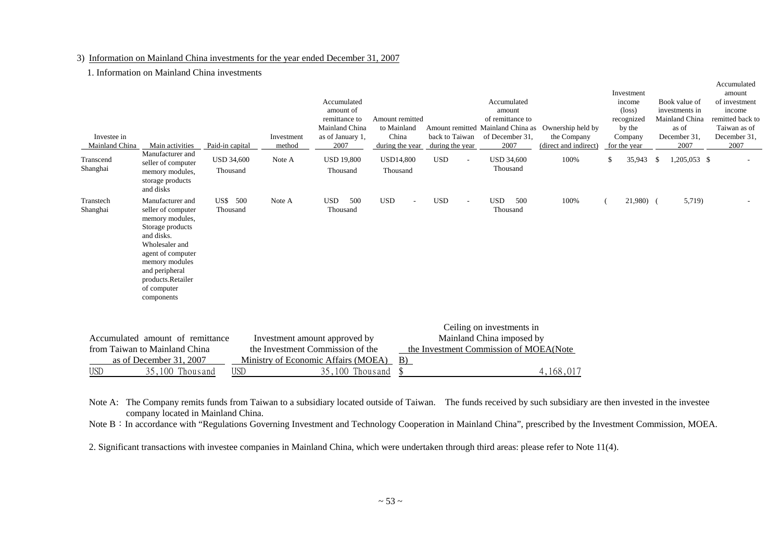#### 3) Information on Mainland China investments for the year ended December 31, 2007

#### 1. Information on Mainland China investments

| Investee in<br>Mainland China | Main activities                                                                                                                                                                                                          | Paid-in capital               | Investment<br>method                | Accumulated<br>amount of<br>remittance to<br>Mainland China<br>as of January 1,<br>2007 | Amount remitted<br>to Mainland<br>China<br>during the year | back to Taiwan<br>during the year |                          | Accumulated<br>amount<br>of remittance to<br>Amount remitted Mainland China as<br>of December 31,<br>2007 | Ownership held by<br>the Company<br>(direct and indirect) | Investment<br>income<br>$(\text{loss})$<br>recognized<br>by the<br>Company<br>for the year |    | Book value of<br>investments in<br>Mainland China<br>as of<br>December 31.<br>2007 | amount<br>of investment<br>income<br>remitted back to<br>Taiwan as of<br>December 31,<br>2007 |
|-------------------------------|--------------------------------------------------------------------------------------------------------------------------------------------------------------------------------------------------------------------------|-------------------------------|-------------------------------------|-----------------------------------------------------------------------------------------|------------------------------------------------------------|-----------------------------------|--------------------------|-----------------------------------------------------------------------------------------------------------|-----------------------------------------------------------|--------------------------------------------------------------------------------------------|----|------------------------------------------------------------------------------------|-----------------------------------------------------------------------------------------------|
| Transcend<br>Shanghai         | Manufacturer and<br>seller of computer<br>memory modules,<br>storage products<br>and disks                                                                                                                               | <b>USD 34,600</b><br>Thousand | Note A                              | <b>USD 19,800</b><br>Thousand                                                           | <b>USD14,800</b><br>Thousand                               | <b>USD</b>                        | $\overline{\phantom{a}}$ | <b>USD 34,600</b><br>Thousand                                                                             | 100%                                                      | \$<br>35,943                                                                               | -S | 1,205,053 \$                                                                       |                                                                                               |
| Transtech<br>Shanghai         | Manufacturer and<br>seller of computer<br>memory modules,<br>Storage products<br>and disks.<br>Wholesaler and<br>agent of computer<br>memory modules<br>and peripheral<br>products.Retailer<br>of computer<br>components | US\$ 500<br>Thousand          | Note A                              | 500<br><b>USD</b><br>Thousand                                                           | <b>USD</b>                                                 | <b>USD</b>                        | $\sim$                   | <b>USD</b><br>500<br>Thousand                                                                             | 100%                                                      | $21,980$ (                                                                                 |    | 5,719)                                                                             |                                                                                               |
|                               |                                                                                                                                                                                                                          |                               |                                     |                                                                                         |                                                            |                                   |                          | Ceiling on investments in                                                                                 |                                                           |                                                                                            |    |                                                                                    |                                                                                               |
|                               | Accumulated amount of remittance                                                                                                                                                                                         |                               | Investment amount approved by       |                                                                                         |                                                            |                                   |                          | Mainland China imposed by                                                                                 |                                                           |                                                                                            |    |                                                                                    |                                                                                               |
|                               | from Taiwan to Mainland China                                                                                                                                                                                            |                               | the Investment Commission of the    |                                                                                         |                                                            |                                   |                          | the Investment Commission of MOEA(Note                                                                    |                                                           |                                                                                            |    |                                                                                    |                                                                                               |
|                               | as of December 31, 2007                                                                                                                                                                                                  |                               | Ministry of Economic Affairs (MOEA) |                                                                                         | B)                                                         |                                   |                          |                                                                                                           |                                                           |                                                                                            |    |                                                                                    |                                                                                               |
| <b>USD</b>                    | 35,100 Thous and                                                                                                                                                                                                         | <b>USD</b>                    |                                     | 35,100 Thous and                                                                        |                                                            |                                   |                          |                                                                                                           | 4,168,017                                                 |                                                                                            |    |                                                                                    |                                                                                               |

Accumulated

Note A: The Company remits funds from Taiwan to a subsidiary located outside of Taiwan. The funds received by such subsidiary are then invested in the investee company located in Mainland China.

Note B: In accordance with "Regulations Governing Investment and Technology Cooperation in Mainland China", prescribed by the Investment Commission, MOEA.

2. Significant transactions with investee companies in Mainland China, which were undertaken through third areas: please refer to Note 11(4).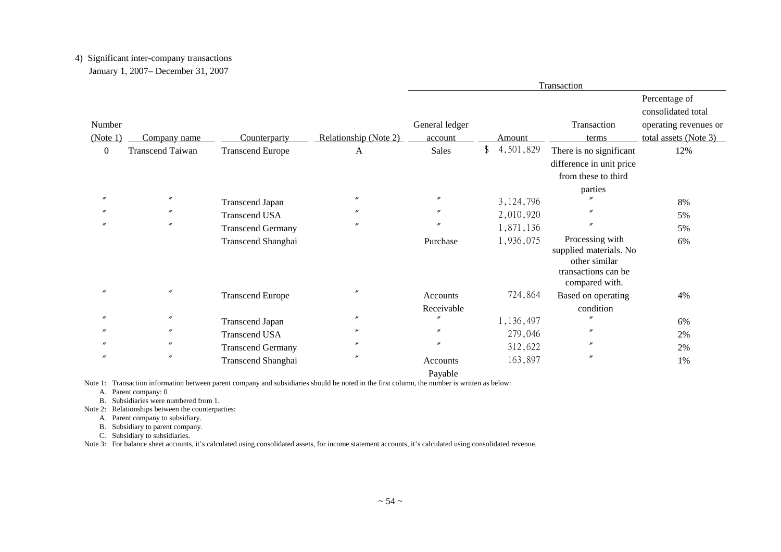# 4) Significant inter-company transactions

January 1, 2007– December 31, 2007

|                  |                         |                          |                       |                                   |             | Transaction                                                                                         |                                                              |
|------------------|-------------------------|--------------------------|-----------------------|-----------------------------------|-------------|-----------------------------------------------------------------------------------------------------|--------------------------------------------------------------|
| Number           |                         |                          |                       | General ledger                    |             | Transaction                                                                                         | Percentage of<br>consolidated total<br>operating revenues or |
| (Note 1)         | Company name            | Counterparty             | Relationship (Note 2) | account                           | Amount      | terms                                                                                               | total assets (Note 3)                                        |
| $\boldsymbol{0}$ | <b>Transcend Taiwan</b> | <b>Transcend Europe</b>  | A                     | Sales                             | \$4,501,829 | There is no significant<br>difference in unit price<br>from these to third                          | 12%                                                          |
|                  |                         |                          |                       |                                   |             | parties                                                                                             |                                                              |
|                  | $\prime\prime$          | <b>Transcend Japan</b>   | $^{\prime\prime}$     | $^{\prime\prime}$                 | 3, 124, 796 |                                                                                                     | 8%                                                           |
|                  | $^{\prime\prime}$       | <b>Transcend USA</b>     | $\prime$              | $^{\prime\prime}$                 | 2,010,920   |                                                                                                     | 5%                                                           |
|                  | $^{\prime\prime}$       | <b>Transcend Germany</b> | $^{\prime\prime}$     | $^{\prime\prime}$                 | 1,871,136   | n                                                                                                   | 5%                                                           |
|                  |                         | Transcend Shanghai       |                       | Purchase                          | 1,936,075   | Processing with<br>supplied materials. No<br>other similar<br>transactions can be<br>compared with. | 6%                                                           |
|                  | $^{\prime\prime}$       | <b>Transcend Europe</b>  | $\prime$              | Accounts                          | 724,864     | Based on operating                                                                                  | 4%                                                           |
|                  |                         |                          |                       | Receivable                        |             | condition                                                                                           |                                                              |
|                  | $^{\prime\prime}$       | <b>Transcend Japan</b>   | $^{\prime\prime}$     | $\prime$                          | 1,136,497   |                                                                                                     | 6%                                                           |
|                  | $^{\prime\prime}$       | <b>Transcend USA</b>     | $\prime$              | $^{\prime\prime}$                 | 279,046     | n                                                                                                   | 2%                                                           |
|                  | $^{\prime\prime}$       | <b>Transcend Germany</b> | $\prime$              | $^{\prime\prime}$                 | 312,622     | n                                                                                                   | 2%                                                           |
| $\prime\prime$   | $\prime\prime$          | Transcend Shanghai       | $\prime\prime$        | Accounts<br>$D_{\text{max}}$ 1.1. | 163,897     | $\prime\prime$                                                                                      | 1%                                                           |

Payable

Note 1: Transaction information between parent company and subsidiaries should be noted in the first column, the number is written as below:

A. Parent company: 0

B. Subsidiaries were numbered from 1.

Note 2: Relationships between the counterparties:

A. Parent company to subsidiary.

B. Subsidiary to parent company.

C. Subsidiary to subsidiaries.

Note 3: For balance sheet accounts, it's calculated using consolidated assets, for income statement accounts, it's calculated using consolidated revenue.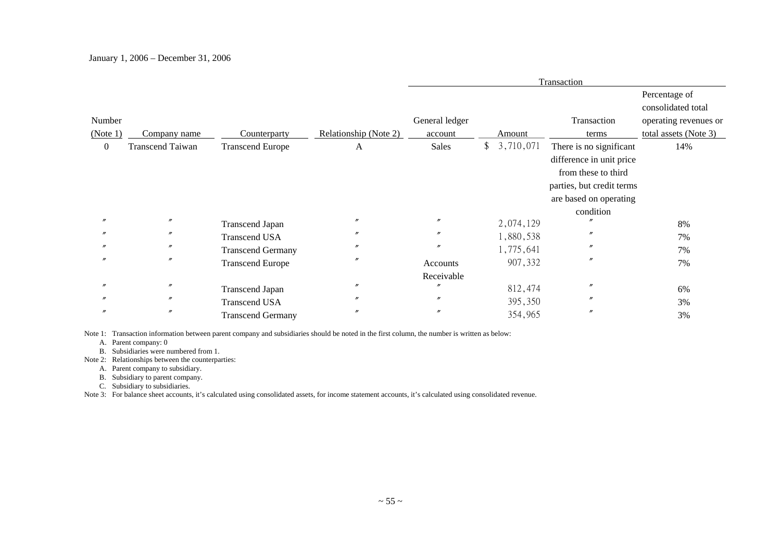|                  |                         |                          |                       |                   |               |           | Transaction               |                       |
|------------------|-------------------------|--------------------------|-----------------------|-------------------|---------------|-----------|---------------------------|-----------------------|
|                  |                         |                          |                       |                   |               |           |                           | Percentage of         |
|                  |                         |                          |                       |                   |               |           |                           | consolidated total    |
| Number           |                         |                          |                       | General ledger    |               |           | Transaction               | operating revenues or |
| (Note 1)         | Company name            | Counterparty             | Relationship (Note 2) | account           |               | Amount    | terms                     | total assets (Note 3) |
| $\boldsymbol{0}$ | <b>Transcend Taiwan</b> | <b>Transcend Europe</b>  | A                     | Sales             | $\frac{1}{2}$ | 3,710,071 | There is no significant   | 14%                   |
|                  |                         |                          |                       |                   |               |           | difference in unit price  |                       |
|                  |                         |                          |                       |                   |               |           | from these to third       |                       |
|                  |                         |                          |                       |                   |               |           | parties, but credit terms |                       |
|                  |                         |                          |                       |                   |               |           | are based on operating    |                       |
|                  |                         |                          |                       |                   |               |           | condition                 |                       |
|                  | $^{\prime\prime}$       | <b>Transcend Japan</b>   | $^{\prime\prime}$     | $^{\prime\prime}$ |               | 2,074,129 |                           | 8%                    |
|                  | $^{\prime\prime}$       | <b>Transcend USA</b>     | $\prime$              | $^{\prime\prime}$ |               | 1,880,538 | $^{\prime\prime}$         | 7%                    |
|                  | $^{\prime\prime}$       | <b>Transcend Germany</b> | $^{\prime\prime}$     | $^{\prime\prime}$ |               | 1,775,641 | $^{\prime\prime}$         | 7%                    |
| n                | $^{\prime\prime}$       | <b>Transcend Europe</b>  | $^{\prime\prime}$     | Accounts          |               | 907,332   | $^{\prime\prime}$         | 7%                    |
|                  |                         |                          |                       | Receivable        |               |           |                           |                       |
|                  | $^{\prime\prime}$       | <b>Transcend Japan</b>   | $\prime$              | $\prime$          |               | 812,474   | $^{\prime\prime}$         | 6%                    |
|                  | $^{\prime\prime}$       | <b>Transcend USA</b>     | $\prime$              | $^{\prime\prime}$ |               | 395,350   | $^{\prime\prime}$         | 3%                    |
|                  | $^{\prime\prime}$       | <b>Transcend Germany</b> | $^{\prime\prime}$     | $^{\prime\prime}$ |               | 354,965   | $^{\prime\prime}$         | 3%                    |

Note 1: Transaction information between parent company and subsidiaries should be noted in the first column, the number is written as below:

A. Parent company: 0

B. Subsidiaries were numbered from 1.

Note 2: Relationships between the counterparties:

A. Parent company to subsidiary.

B. Subsidiary to parent company.

C. Subsidiary to subsidiaries.

Note 3: For balance sheet accounts, it's calculated using consolidated assets, for income statement accounts, it's calculated using consolidated revenue.